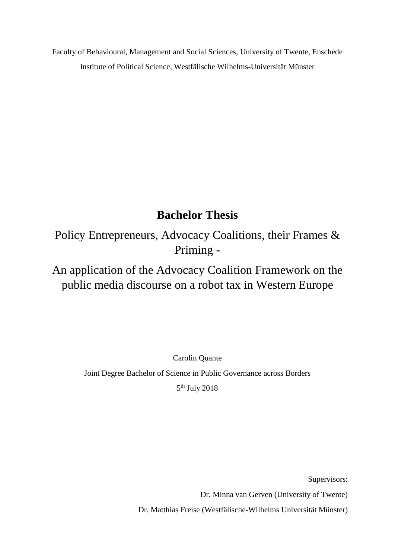Faculty of Behavioural, Management and Social Sciences, University of Twente, Enschede Institute of Political Science, Westfälische Wilhelms-Universität Münster

# **Bachelor Thesis**

Policy Entrepreneurs, Advocacy Coalitions, their Frames & Priming -

An application of the Advocacy Coalition Framework on the public media discourse on a robot tax in Western Europe

Carolin Quante

Joint Degree Bachelor of Science in Public Governance across Borders

5 th July 2018

Supervisors:

Dr. Minna van Gerven (University of Twente)

Dr. Matthias Freise (Westfälische-Wilhelms Universität Münster)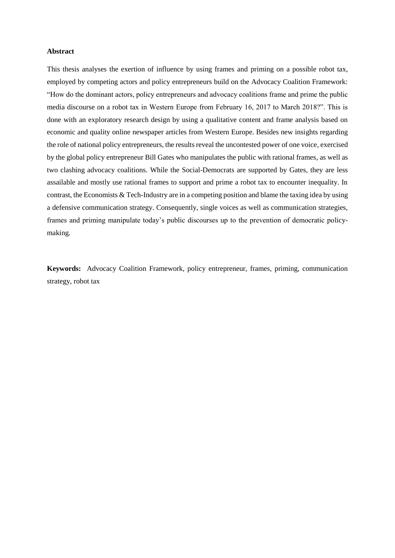#### **Abstract**

This thesis analyses the exertion of influence by using frames and priming on a possible robot tax, employed by competing actors and policy entrepreneurs build on the Advocacy Coalition Framework: "How do the dominant actors, policy entrepreneurs and advocacy coalitions frame and prime the public media discourse on a robot tax in Western Europe from February 16, 2017 to March 2018?". This is done with an exploratory research design by using a qualitative content and frame analysis based on economic and quality online newspaper articles from Western Europe. Besides new insights regarding the role of national policy entrepreneurs, the results reveal the uncontested power of one voice, exercised by the global policy entrepreneur Bill Gates who manipulates the public with rational frames, as well as two clashing advocacy coalitions. While the Social-Democrats are supported by Gates, they are less assailable and mostly use rational frames to support and prime a robot tax to encounter inequality. In contrast, the Economists & Tech-Industry are in a competing position and blame the taxing idea by using a defensive communication strategy. Consequently, single voices as well as communication strategies, frames and priming manipulate today's public discourses up to the prevention of democratic policymaking.

**Keywords:** Advocacy Coalition Framework, policy entrepreneur, frames, priming, communication strategy, robot tax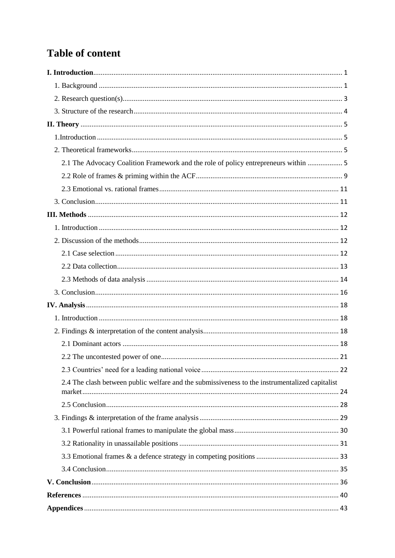# **Table of content**

| 2.1 The Advocacy Coalition Framework and the role of policy entrepreneurs within  5            |  |
|------------------------------------------------------------------------------------------------|--|
|                                                                                                |  |
|                                                                                                |  |
|                                                                                                |  |
|                                                                                                |  |
|                                                                                                |  |
|                                                                                                |  |
|                                                                                                |  |
|                                                                                                |  |
|                                                                                                |  |
|                                                                                                |  |
|                                                                                                |  |
|                                                                                                |  |
|                                                                                                |  |
|                                                                                                |  |
|                                                                                                |  |
|                                                                                                |  |
| 2.4 The clash between public welfare and the submissiveness to the instrumentalized capitalist |  |
|                                                                                                |  |
|                                                                                                |  |
|                                                                                                |  |
|                                                                                                |  |
|                                                                                                |  |
|                                                                                                |  |
|                                                                                                |  |
|                                                                                                |  |
|                                                                                                |  |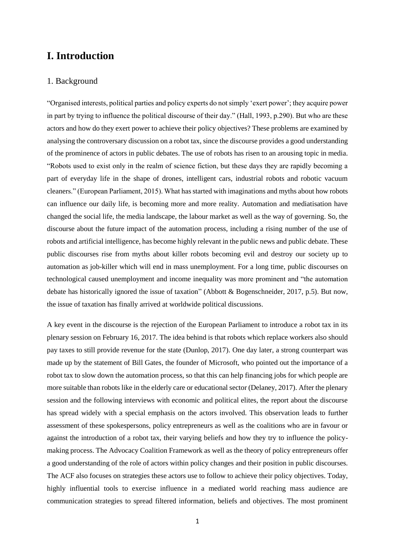# <span id="page-3-0"></span>**I. Introduction**

#### <span id="page-3-1"></span>1. Background

"Organised interests, political parties and policy experts do not simply 'exert power'; they acquire power in part by trying to influence the political discourse of their day." (Hall, 1993, p.290). But who are these actors and how do they exert power to achieve their policy objectives? These problems are examined by analysing the controversary discussion on a robot tax, since the discourse provides a good understanding of the prominence of actors in public debates. The use of robots has risen to an arousing topic in media. "Robots used to exist only in the realm of science fiction, but these days they are rapidly becoming a part of everyday life in the shape of drones, intelligent cars, industrial robots and robotic vacuum cleaners." (European Parliament, 2015). What hasstarted with imaginations and myths about how robots can influence our daily life, is becoming more and more reality. Automation and mediatisation have changed the social life, the media landscape, the labour market as well as the way of governing. So, the discourse about the future impact of the automation process, including a rising number of the use of robots and artificial intelligence, has become highly relevant in the public news and public debate. These public discourses rise from myths about killer robots becoming evil and destroy our society up to automation as job-killer which will end in mass unemployment. For a long time, public discourses on technological caused unemployment and income inequality was more prominent and "the automation debate has historically ignored the issue of taxation" (Abbott & Bogenschneider, 2017, p.5). But now, the issue of taxation has finally arrived at worldwide political discussions.

A key event in the discourse is the rejection of the European Parliament to introduce a robot tax in its plenary session on February 16, 2017. The idea behind is that robots which replace workers also should pay taxes to still provide revenue for the state (Dunlop, 2017). One day later, a strong counterpart was made up by the statement of Bill Gates, the founder of Microsoft, who pointed out the importance of a robot tax to slow down the automation process, so that this can help financing jobs for which people are more suitable than robots like in the elderly care or educational sector (Delaney, 2017). After the plenary session and the following interviews with economic and political elites, the report about the discourse has spread widely with a special emphasis on the actors involved. This observation leads to further assessment of these spokespersons, policy entrepreneurs as well as the coalitions who are in favour or against the introduction of a robot tax, their varying beliefs and how they try to influence the policymaking process. The Advocacy Coalition Framework as well as the theory of policy entrepreneurs offer a good understanding of the role of actors within policy changes and their position in public discourses. The ACF also focuses on strategies these actors use to follow to achieve their policy objectives. Today, highly influential tools to exercise influence in a mediated world reaching mass audience are communication strategies to spread filtered information, beliefs and objectives. The most prominent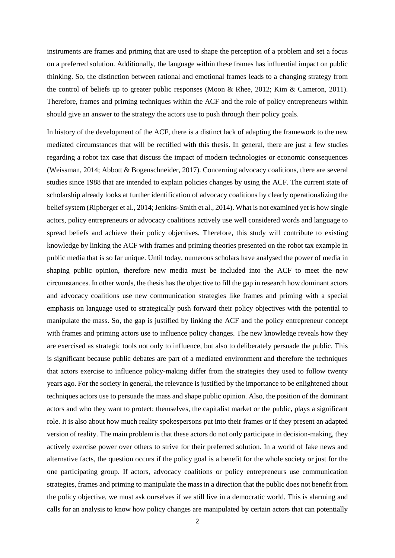instruments are frames and priming that are used to shape the perception of a problem and set a focus on a preferred solution. Additionally, the language within these frames has influential impact on public thinking. So, the distinction between rational and emotional frames leads to a changing strategy from the control of beliefs up to greater public responses (Moon & Rhee, 2012; Kim & Cameron, 2011). Therefore, frames and priming techniques within the ACF and the role of policy entrepreneurs within should give an answer to the strategy the actors use to push through their policy goals.

In history of the development of the ACF, there is a distinct lack of adapting the framework to the new mediated circumstances that will be rectified with this thesis. In general, there are just a few studies regarding a robot tax case that discuss the impact of modern technologies or economic consequences (Weissman, 2014; Abbott & Bogenschneider, 2017). Concerning advocacy coalitions, there are several studies since 1988 that are intended to explain policies changes by using the ACF. The current state of scholarship already looks at further identification of advocacy coalitions by clearly operationalizing the belief system (Ripberger et al., 2014; Jenkins-Smith et al., 2014). What is not examined yet is how single actors, policy entrepreneurs or advocacy coalitions actively use well considered words and language to spread beliefs and achieve their policy objectives. Therefore, this study will contribute to existing knowledge by linking the ACF with frames and priming theories presented on the robot tax example in public media that is so far unique. Until today, numerous scholars have analysed the power of media in shaping public opinion, therefore new media must be included into the ACF to meet the new circumstances. In other words, the thesis has the objective to fill the gap in research how dominant actors and advocacy coalitions use new communication strategies like frames and priming with a special emphasis on language used to strategically push forward their policy objectives with the potential to manipulate the mass. So, the gap is justified by linking the ACF and the policy entrepreneur concept with frames and priming actors use to influence policy changes. The new knowledge reveals how they are exercised as strategic tools not only to influence, but also to deliberately persuade the public. This is significant because public debates are part of a mediated environment and therefore the techniques that actors exercise to influence policy-making differ from the strategies they used to follow twenty years ago. For the society in general, the relevance is justified by the importance to be enlightened about techniques actors use to persuade the mass and shape public opinion. Also, the position of the dominant actors and who they want to protect: themselves, the capitalist market or the public, plays a significant role. It is also about how much reality spokespersons put into their frames or if they present an adapted version of reality. The main problem is that these actors do not only participate in decision-making, they actively exercise power over others to strive for their preferred solution. In a world of fake news and alternative facts, the question occurs if the policy goal is a benefit for the whole society or just for the one participating group. If actors, advocacy coalitions or policy entrepreneurs use communication strategies, frames and priming to manipulate the mass in a direction that the public does not benefit from the policy objective, we must ask ourselves if we still live in a democratic world. This is alarming and calls for an analysis to know how policy changes are manipulated by certain actors that can potentially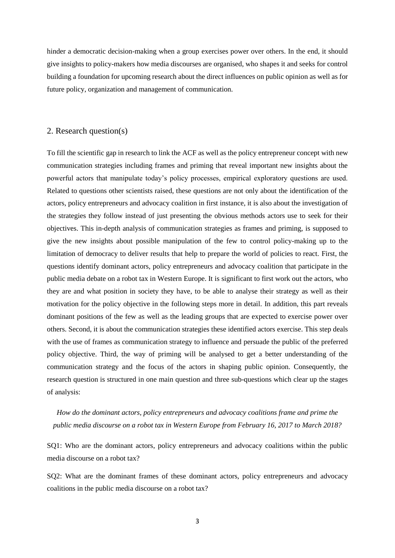hinder a democratic decision-making when a group exercises power over others. In the end, it should give insights to policy-makers how media discourses are organised, who shapes it and seeks for control building a foundation for upcoming research about the direct influences on public opinion as well as for future policy, organization and management of communication.

#### <span id="page-5-0"></span>2. Research question(s)

To fill the scientific gap in research to link the ACF as well as the policy entrepreneur concept with new communication strategies including frames and priming that reveal important new insights about the powerful actors that manipulate today's policy processes, empirical exploratory questions are used. Related to questions other scientists raised, these questions are not only about the identification of the actors, policy entrepreneurs and advocacy coalition in first instance, it is also about the investigation of the strategies they follow instead of just presenting the obvious methods actors use to seek for their objectives. This in-depth analysis of communication strategies as frames and priming, is supposed to give the new insights about possible manipulation of the few to control policy-making up to the limitation of democracy to deliver results that help to prepare the world of policies to react. First, the questions identify dominant actors, policy entrepreneurs and advocacy coalition that participate in the public media debate on a robot tax in Western Europe. It is significant to first work out the actors, who they are and what position in society they have, to be able to analyse their strategy as well as their motivation for the policy objective in the following steps more in detail. In addition, this part reveals dominant positions of the few as well as the leading groups that are expected to exercise power over others. Second, it is about the communication strategies these identified actors exercise. This step deals with the use of frames as communication strategy to influence and persuade the public of the preferred policy objective. Third, the way of priming will be analysed to get a better understanding of the communication strategy and the focus of the actors in shaping public opinion. Consequently, the research question is structured in one main question and three sub-questions which clear up the stages of analysis:

*How do the dominant actors, policy entrepreneurs and advocacy coalitions frame and prime the public media discourse on a robot tax in Western Europe from February 16, 2017 to March 2018?*

SQ1: Who are the dominant actors, policy entrepreneurs and advocacy coalitions within the public media discourse on a robot tax?

SQ2: What are the dominant frames of these dominant actors, policy entrepreneurs and advocacy coalitions in the public media discourse on a robot tax?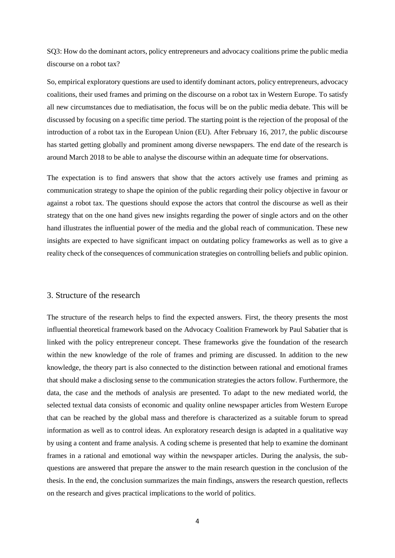SQ3: How do the dominant actors, policy entrepreneurs and advocacy coalitions prime the public media discourse on a robot tax?

So, empirical exploratory questions are used to identify dominant actors, policy entrepreneurs, advocacy coalitions, their used frames and priming on the discourse on a robot tax in Western Europe. To satisfy all new circumstances due to mediatisation, the focus will be on the public media debate. This will be discussed by focusing on a specific time period. The starting point is the rejection of the proposal of the introduction of a robot tax in the European Union (EU). After February 16, 2017, the public discourse has started getting globally and prominent among diverse newspapers. The end date of the research is around March 2018 to be able to analyse the discourse within an adequate time for observations.

The expectation is to find answers that show that the actors actively use frames and priming as communication strategy to shape the opinion of the public regarding their policy objective in favour or against a robot tax. The questions should expose the actors that control the discourse as well as their strategy that on the one hand gives new insights regarding the power of single actors and on the other hand illustrates the influential power of the media and the global reach of communication. These new insights are expected to have significant impact on outdating policy frameworks as well as to give a reality check of the consequences of communication strategies on controlling beliefs and public opinion.

#### <span id="page-6-0"></span>3. Structure of the research

The structure of the research helps to find the expected answers. First, the theory presents the most influential theoretical framework based on the Advocacy Coalition Framework by Paul Sabatier that is linked with the policy entrepreneur concept. These frameworks give the foundation of the research within the new knowledge of the role of frames and priming are discussed. In addition to the new knowledge, the theory part is also connected to the distinction between rational and emotional frames that should make a disclosing sense to the communication strategies the actors follow. Furthermore, the data, the case and the methods of analysis are presented. To adapt to the new mediated world, the selected textual data consists of economic and quality online newspaper articles from Western Europe that can be reached by the global mass and therefore is characterized as a suitable forum to spread information as well as to control ideas. An exploratory research design is adapted in a qualitative way by using a content and frame analysis. A coding scheme is presented that help to examine the dominant frames in a rational and emotional way within the newspaper articles. During the analysis, the subquestions are answered that prepare the answer to the main research question in the conclusion of the thesis. In the end, the conclusion summarizes the main findings, answers the research question, reflects on the research and gives practical implications to the world of politics.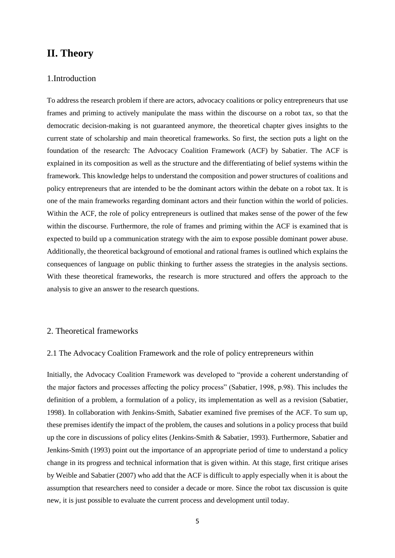# <span id="page-7-0"></span>**II. Theory**

#### <span id="page-7-1"></span>1.Introduction

To address the research problem if there are actors, advocacy coalitions or policy entrepreneurs that use frames and priming to actively manipulate the mass within the discourse on a robot tax, so that the democratic decision-making is not guaranteed anymore, the theoretical chapter gives insights to the current state of scholarship and main theoretical frameworks. So first, the section puts a light on the foundation of the research: The Advocacy Coalition Framework (ACF) by Sabatier. The ACF is explained in its composition as well as the structure and the differentiating of belief systems within the framework. This knowledge helps to understand the composition and power structures of coalitions and policy entrepreneurs that are intended to be the dominant actors within the debate on a robot tax. It is one of the main frameworks regarding dominant actors and their function within the world of policies. Within the ACF, the role of policy entrepreneurs is outlined that makes sense of the power of the few within the discourse. Furthermore, the role of frames and priming within the ACF is examined that is expected to build up a communication strategy with the aim to expose possible dominant power abuse. Additionally, the theoretical background of emotional and rational frames is outlined which explains the consequences of language on public thinking to further assess the strategies in the analysis sections. With these theoretical frameworks, the research is more structured and offers the approach to the analysis to give an answer to the research questions.

### <span id="page-7-2"></span>2. Theoretical frameworks

#### <span id="page-7-3"></span>2.1 The Advocacy Coalition Framework and the role of policy entrepreneurs within

Initially, the Advocacy Coalition Framework was developed to "provide a coherent understanding of the major factors and processes affecting the policy process" (Sabatier, 1998, p.98). This includes the definition of a problem, a formulation of a policy, its implementation as well as a revision (Sabatier, 1998). In collaboration with Jenkins-Smith, Sabatier examined five premises of the ACF. To sum up, these premises identify the impact of the problem, the causes and solutions in a policy process that build up the core in discussions of policy elites (Jenkins-Smith & Sabatier, 1993). Furthermore, Sabatier and Jenkins-Smith (1993) point out the importance of an appropriate period of time to understand a policy change in its progress and technical information that is given within. At this stage, first critique arises by Weible and Sabatier (2007) who add that the ACF is difficult to apply especially when it is about the assumption that researchers need to consider a decade or more. Since the robot tax discussion is quite new, it is just possible to evaluate the current process and development until today.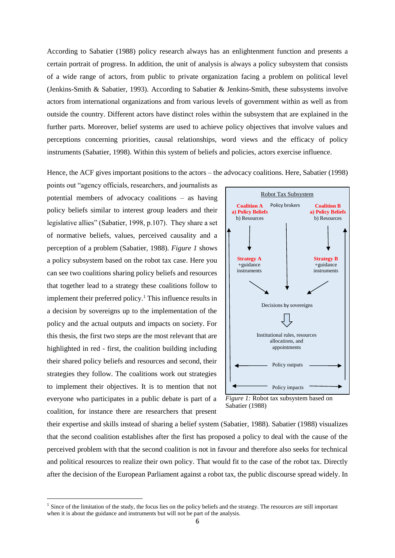According to Sabatier (1988) policy research always has an enlightenment function and presents a certain portrait of progress. In addition, the unit of analysis is always a policy subsystem that consists of a wide range of actors, from public to private organization facing a problem on political level (Jenkins-Smith & Sabatier, 1993)*.* According to Sabatier & Jenkins-Smith, these subsystems involve actors from international organizations and from various levels of government within as well as from outside the country. Different actors have distinct roles within the subsystem that are explained in the further parts. Moreover, belief systems are used to achieve policy objectives that involve values and perceptions concerning priorities, causal relationships, word views and the efficacy of policy instruments (Sabatier, 1998). Within this system of beliefs and policies, actors exercise influence.

Hence, the ACF gives important positions to the actors – the advocacy coalitions. Here, Sabatier (1998)

points out "agency officials, researchers, and journalists as potential members of advocacy coalitions – as having policy beliefs similar to interest group leaders and their legislative allies" (Sabatier, 1998, p.107). They share a set of normative beliefs, values, perceived causality and a perception of a problem (Sabatier, 1988). *Figure 1* shows a policy subsystem based on the robot tax case. Here you can see two coalitions sharing policy beliefs and resources that together lead to a strategy these coalitions follow to implement their preferred policy.<sup>1</sup> This influence results in a decision by sovereigns up to the implementation of the policy and the actual outputs and impacts on society. For this thesis, the first two steps are the most relevant that are highlighted in red - first, the coalition building including their shared policy beliefs and resources and second, their strategies they follow. The coalitions work out strategies to implement their objectives. It is to mention that not everyone who participates in a public debate is part of a coalition, for instance there are researchers that present

 $\overline{\phantom{a}}$ 



*Figure 1:* Robot tax subsystem based on Sabatier (1988)

their expertise and skills instead of sharing a belief system (Sabatier, 1988). Sabatier (1988) visualizes that the second coalition establishes after the first has proposed a policy to deal with the cause of the perceived problem with that the second coalition is not in favour and therefore also seeks for technical and political resources to realize their own policy. That would fit to the case of the robot tax. Directly after the decision of the European Parliament against a robot tax, the public discourse spread widely. In

<sup>&</sup>lt;sup>1</sup> Since of the limitation of the study, the focus lies on the policy beliefs and the strategy. The resources are still important when it is about the guidance and instruments but will not be part of the analysis.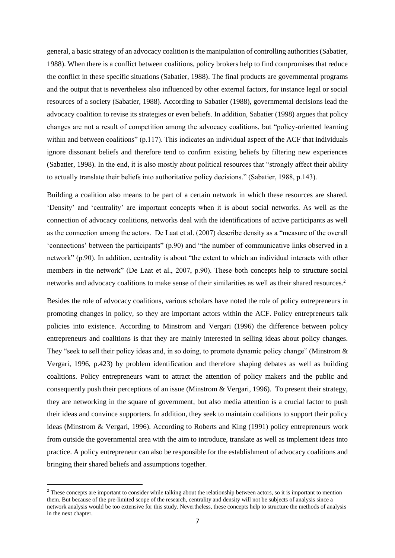general, a basic strategy of an advocacy coalition is the manipulation of controlling authorities (Sabatier, 1988). When there is a conflict between coalitions, policy brokers help to find compromises that reduce the conflict in these specific situations (Sabatier, 1988). The final products are governmental programs and the output that is nevertheless also influenced by other external factors, for instance legal or social resources of a society (Sabatier, 1988). According to Sabatier (1988), governmental decisions lead the advocacy coalition to revise its strategies or even beliefs. In addition, Sabatier (1998) argues that policy changes are not a result of competition among the advocacy coalitions, but "policy-oriented learning within and between coalitions" (p.117). This indicates an individual aspect of the ACF that individuals ignore dissonant beliefs and therefore tend to confirm existing beliefs by filtering new experiences (Sabatier, 1998). In the end, it is also mostly about political resources that "strongly affect their ability to actually translate their beliefs into authoritative policy decisions." (Sabatier, 1988, p.143).

Building a coalition also means to be part of a certain network in which these resources are shared. 'Density' and 'centrality' are important concepts when it is about social networks. As well as the connection of advocacy coalitions, networks deal with the identifications of active participants as well as the connection among the actors. De Laat et al. (2007) describe density as a "measure of the overall 'connections' between the participants" (p.90) and "the number of communicative links observed in a network" (p.90). In addition, centrality is about "the extent to which an individual interacts with other members in the network" (De Laat et al., 2007, p.90). These both concepts help to structure social networks and advocacy coalitions to make sense of their similarities as well as their shared resources.<sup>2</sup>

Besides the role of advocacy coalitions, various scholars have noted the role of policy entrepreneurs in promoting changes in policy, so they are important actors within the ACF. Policy entrepreneurs talk policies into existence. According to Minstrom and Vergari (1996) the difference between policy entrepreneurs and coalitions is that they are mainly interested in selling ideas about policy changes. They "seek to sell their policy ideas and, in so doing, to promote dynamic policy change" (Minstrom & Vergari, 1996, p.423) by problem identification and therefore shaping debates as well as building coalitions. Policy entrepreneurs want to attract the attention of policy makers and the public and consequently push their perceptions of an issue (Minstrom & Vergari, 1996). To present their strategy, they are networking in the square of government, but also media attention is a crucial factor to push their ideas and convince supporters. In addition, they seek to maintain coalitions to support their policy ideas (Minstrom & Vergari, 1996). According to Roberts and King (1991) policy entrepreneurs work from outside the governmental area with the aim to introduce, translate as well as implement ideas into practice. A policy entrepreneur can also be responsible for the establishment of advocacy coalitions and bringing their shared beliefs and assumptions together.

1

<sup>&</sup>lt;sup>2</sup> These concepts are important to consider while talking about the relationship between actors, so it is important to mention them. But because of the pre-limited scope of the research, centrality and density will not be subjects of analysis since a network analysis would be too extensive for this study. Nevertheless, these concepts help to structure the methods of analysis in the next chapter.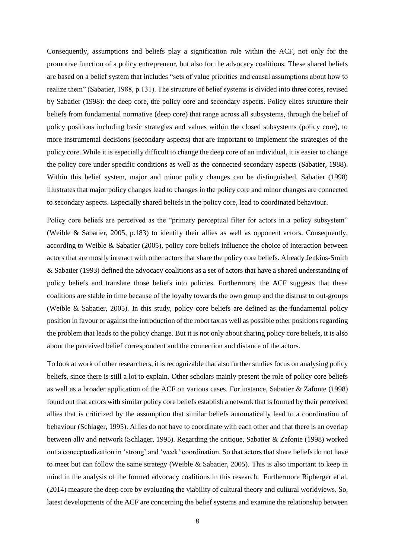Consequently, assumptions and beliefs play a signification role within the ACF, not only for the promotive function of a policy entrepreneur, but also for the advocacy coalitions. These shared beliefs are based on a belief system that includes "sets of value priorities and causal assumptions about how to realize them" (Sabatier, 1988, p.131). The structure of belief systems is divided into three cores, revised by Sabatier (1998): the deep core, the policy core and secondary aspects. Policy elites structure their beliefs from fundamental normative (deep core) that range across all subsystems, through the belief of policy positions including basic strategies and values within the closed subsystems (policy core), to more instrumental decisions (secondary aspects) that are important to implement the strategies of the policy core. While it is especially difficult to change the deep core of an individual, it is easier to change the policy core under specific conditions as well as the connected secondary aspects (Sabatier, 1988). Within this belief system, major and minor policy changes can be distinguished. Sabatier (1998) illustrates that major policy changes lead to changes in the policy core and minor changes are connected to secondary aspects. Especially shared beliefs in the policy core, lead to coordinated behaviour.

Policy core beliefs are perceived as the "primary perceptual filter for actors in a policy subsystem" (Weible & Sabatier, 2005, p.183) to identify their allies as well as opponent actors. Consequently, according to Weible & Sabatier (2005), policy core beliefs influence the choice of interaction between actors that are mostly interact with other actors that share the policy core beliefs. Already Jenkins-Smith & Sabatier (1993) defined the advocacy coalitions as a set of actors that have a shared understanding of policy beliefs and translate those beliefs into policies. Furthermore, the ACF suggests that these coalitions are stable in time because of the loyalty towards the own group and the distrust to out-groups (Weible & Sabatier, 2005). In this study, policy core beliefs are defined as the fundamental policy position in favour or against the introduction of the robot tax as well as possible other positions regarding the problem that leads to the policy change. But it is not only about sharing policy core beliefs, it is also about the perceived belief correspondent and the connection and distance of the actors.

To look at work of other researchers, it is recognizable that also further studies focus on analysing policy beliefs, since there is still a lot to explain. Other scholars mainly present the role of policy core beliefs as well as a broader application of the ACF on various cases. For instance, Sabatier & Zafonte (1998) found out that actors with similar policy core beliefs establish a network that is formed by their perceived allies that is criticized by the assumption that similar beliefs automatically lead to a coordination of behaviour (Schlager, 1995). Allies do not have to coordinate with each other and that there is an overlap between ally and network (Schlager, 1995). Regarding the critique, Sabatier & Zafonte (1998) worked out a conceptualization in 'strong' and 'week' coordination. So that actors that share beliefs do not have to meet but can follow the same strategy (Weible & Sabatier, 2005). This is also important to keep in mind in the analysis of the formed advocacy coalitions in this research. Furthermore Ripberger et al. (2014) measure the deep core by evaluating the viability of cultural theory and cultural worldviews. So, latest developments of the ACF are concerning the belief systems and examine the relationship between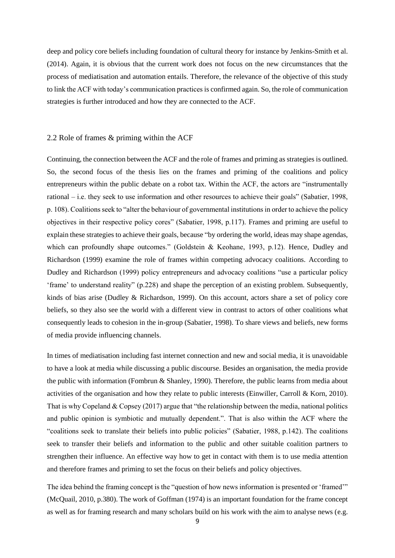deep and policy core beliefs including foundation of cultural theory for instance by Jenkins-Smith et al. (2014). Again, it is obvious that the current work does not focus on the new circumstances that the process of mediatisation and automation entails. Therefore, the relevance of the objective of this study to link the ACF with today's communication practices is confirmed again. So, the role of communication strategies is further introduced and how they are connected to the ACF.

#### <span id="page-11-0"></span>2.2 Role of frames & priming within the ACF

Continuing, the connection between the ACF and the role of frames and priming as strategies is outlined. So, the second focus of the thesis lies on the frames and priming of the coalitions and policy entrepreneurs within the public debate on a robot tax. Within the ACF, the actors are "instrumentally rational – i.e. they seek to use information and other resources to achieve their goals" (Sabatier, 1998, p. 108). Coalitions seek to "alter the behaviour of governmental institutions in order to achieve the policy objectives in their respective policy cores" (Sabatier, 1998, p.117). Frames and priming are useful to explain these strategies to achieve their goals, because "by ordering the world, ideas may shape agendas, which can profoundly shape outcomes." (Goldstein & Keohane, 1993, p.12). Hence, Dudley and Richardson (1999) examine the role of frames within competing advocacy coalitions. According to Dudley and Richardson (1999) policy entrepreneurs and advocacy coalitions "use a particular policy 'frame' to understand reality" (p.228) and shape the perception of an existing problem. Subsequently, kinds of bias arise (Dudley & Richardson, 1999). On this account, actors share a set of policy core beliefs, so they also see the world with a different view in contrast to actors of other coalitions what consequently leads to cohesion in the in-group (Sabatier, 1998). To share views and beliefs, new forms of media provide influencing channels.

In times of mediatisation including fast internet connection and new and social media, it is unavoidable to have a look at media while discussing a public discourse. Besides an organisation, the media provide the public with information (Fombrun & Shanley, 1990). Therefore, the public learns from media about activities of the organisation and how they relate to public interests (Einwiller, Carroll & Korn, 2010). That is why Copeland  $& Copsey (2017)$  argue that "the relationship between the media, national politics and public opinion is symbiotic and mutually dependent.". That is also within the ACF where the "coalitions seek to translate their beliefs into public policies" (Sabatier, 1988, p.142). The coalitions seek to transfer their beliefs and information to the public and other suitable coalition partners to strengthen their influence. An effective way how to get in contact with them is to use media attention and therefore frames and priming to set the focus on their beliefs and policy objectives.

The idea behind the framing concept is the "question of how news information is presented or 'framed'" (McQuail, 2010, p.380). The work of Goffman (1974) is an important foundation for the frame concept as well as for framing research and many scholars build on his work with the aim to analyse news (e.g.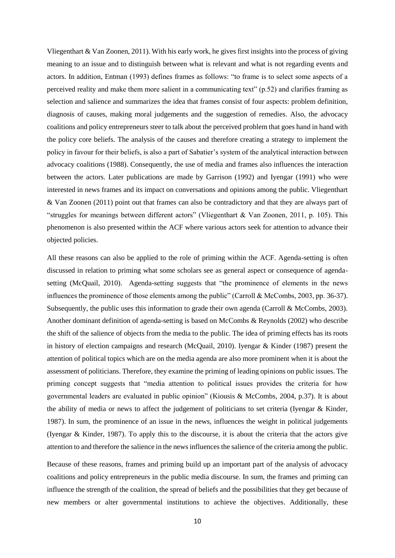Vliegenthart & Van Zoonen, 2011). With his early work, he gives first insights into the process of giving meaning to an issue and to distinguish between what is relevant and what is not regarding events and actors. In addition, Entman (1993) defines frames as follows: "to frame is to select some aspects of a perceived reality and make them more salient in a communicating text" (p.52) and clarifies framing as selection and salience and summarizes the idea that frames consist of four aspects: problem definition, diagnosis of causes, making moral judgements and the suggestion of remedies. Also, the advocacy coalitions and policy entrepreneurs steer to talk about the perceived problem that goes hand in hand with the policy core beliefs. The analysis of the causes and therefore creating a strategy to implement the policy in favour for their beliefs, is also a part of Sabatier's system of the analytical interaction between advocacy coalitions (1988). Consequently, the use of media and frames also influences the interaction between the actors. Later publications are made by Garrison (1992) and Iyengar (1991) who were interested in news frames and its impact on conversations and opinions among the public. Vliegenthart & Van Zoonen (2011) point out that frames can also be contradictory and that they are always part of "struggles for meanings between different actors" (Vliegenthart & Van Zoonen, 2011, p. 105). This phenomenon is also presented within the ACF where various actors seek for attention to advance their objected policies.

All these reasons can also be applied to the role of priming within the ACF. Agenda-setting is often discussed in relation to priming what some scholars see as general aspect or consequence of agendasetting (McQuail, 2010). Agenda-setting suggests that "the prominence of elements in the news influences the prominence of those elements among the public" (Carroll & McCombs, 2003, pp. 36-37). Subsequently, the public uses this information to grade their own agenda (Carroll & McCombs, 2003). Another dominant definition of agenda-setting is based on McCombs & Reynolds (2002) who describe the shift of the salience of objects from the media to the public. The idea of priming effects has its roots in history of election campaigns and research (McQuail, 2010). Iyengar & Kinder (1987) present the attention of political topics which are on the media agenda are also more prominent when it is about the assessment of politicians. Therefore, they examine the priming of leading opinions on public issues. The priming concept suggests that "media attention to political issues provides the criteria for how governmental leaders are evaluated in public opinion" (Kiousis & McCombs, 2004, p.37). It is about the ability of media or news to affect the judgement of politicians to set criteria (Iyengar & Kinder, 1987). In sum, the prominence of an issue in the news, influences the weight in political judgements (Iyengar & Kinder, 1987). To apply this to the discourse, it is about the criteria that the actors give attention to and therefore the salience in the news influences the salience of the criteria among the public.

Because of these reasons, frames and priming build up an important part of the analysis of advocacy coalitions and policy entrepreneurs in the public media discourse. In sum, the frames and priming can influence the strength of the coalition, the spread of beliefs and the possibilities that they get because of new members or alter governmental institutions to achieve the objectives. Additionally, these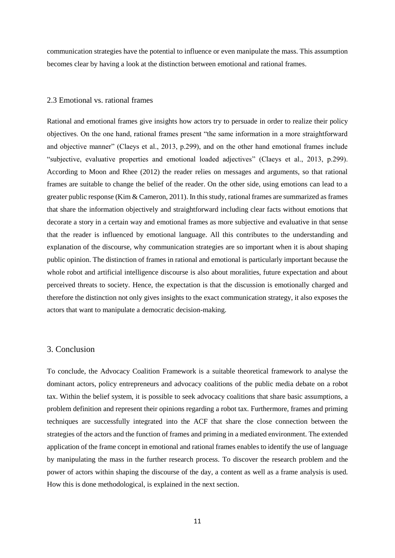communication strategies have the potential to influence or even manipulate the mass. This assumption becomes clear by having a look at the distinction between emotional and rational frames.

#### <span id="page-13-0"></span>2.3 Emotional vs. rational frames

Rational and emotional frames give insights how actors try to persuade in order to realize their policy objectives. On the one hand, rational frames present "the same information in a more straightforward and objective manner" (Claeys et al., 2013, p.299), and on the other hand emotional frames include "subjective, evaluative properties and emotional loaded adjectives" (Claeys et al., 2013, p.299). According to Moon and Rhee (2012) the reader relies on messages and arguments, so that rational frames are suitable to change the belief of the reader. On the other side, using emotions can lead to a greater public response (Kim & Cameron, 2011). In this study, rational frames are summarized as frames that share the information objectively and straightforward including clear facts without emotions that decorate a story in a certain way and emotional frames as more subjective and evaluative in that sense that the reader is influenced by emotional language. All this contributes to the understanding and explanation of the discourse, why communication strategies are so important when it is about shaping public opinion. The distinction of frames in rational and emotional is particularly important because the whole robot and artificial intelligence discourse is also about moralities, future expectation and about perceived threats to society. Hence, the expectation is that the discussion is emotionally charged and therefore the distinction not only gives insights to the exact communication strategy, it also exposes the actors that want to manipulate a democratic decision-making.

#### <span id="page-13-1"></span>3. Conclusion

To conclude, the Advocacy Coalition Framework is a suitable theoretical framework to analyse the dominant actors, policy entrepreneurs and advocacy coalitions of the public media debate on a robot tax. Within the belief system, it is possible to seek advocacy coalitions that share basic assumptions, a problem definition and represent their opinions regarding a robot tax. Furthermore, frames and priming techniques are successfully integrated into the ACF that share the close connection between the strategies of the actors and the function of frames and priming in a mediated environment. The extended application of the frame concept in emotional and rational frames enables to identify the use of language by manipulating the mass in the further research process. To discover the research problem and the power of actors within shaping the discourse of the day, a content as well as a frame analysis is used. How this is done methodological, is explained in the next section.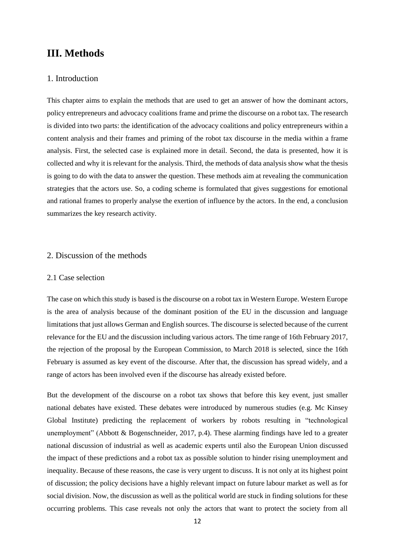# <span id="page-14-0"></span>**III. Methods**

#### <span id="page-14-1"></span>1. Introduction

This chapter aims to explain the methods that are used to get an answer of how the dominant actors, policy entrepreneurs and advocacy coalitions frame and prime the discourse on a robot tax. The research is divided into two parts: the identification of the advocacy coalitions and policy entrepreneurs within a content analysis and their frames and priming of the robot tax discourse in the media within a frame analysis. First, the selected case is explained more in detail. Second, the data is presented, how it is collected and why it is relevant for the analysis. Third, the methods of data analysis show what the thesis is going to do with the data to answer the question. These methods aim at revealing the communication strategies that the actors use. So, a coding scheme is formulated that gives suggestions for emotional and rational frames to properly analyse the exertion of influence by the actors. In the end, a conclusion summarizes the key research activity.

#### <span id="page-14-2"></span>2. Discussion of the methods

#### <span id="page-14-3"></span>2.1 Case selection

The case on which this study is based is the discourse on a robot tax in Western Europe. Western Europe is the area of analysis because of the dominant position of the EU in the discussion and language limitations that just allows German and English sources. The discourse is selected because of the current relevance for the EU and the discussion including various actors. The time range of 16th February 2017, the rejection of the proposal by the European Commission, to March 2018 is selected, since the 16th February is assumed as key event of the discourse. After that, the discussion has spread widely, and a range of actors has been involved even if the discourse has already existed before.

But the development of the discourse on a robot tax shows that before this key event, just smaller national debates have existed. These debates were introduced by numerous studies (e.g. Mc Kinsey Global Institute) predicting the replacement of workers by robots resulting in "technological unemployment" (Abbott & Bogenschneider, 2017, p.4). These alarming findings have led to a greater national discussion of industrial as well as academic experts until also the European Union discussed the impact of these predictions and a robot tax as possible solution to hinder rising unemployment and inequality. Because of these reasons, the case is very urgent to discuss. It is not only at its highest point of discussion; the policy decisions have a highly relevant impact on future labour market as well as for social division. Now, the discussion as well as the political world are stuck in finding solutions for these occurring problems. This case reveals not only the actors that want to protect the society from all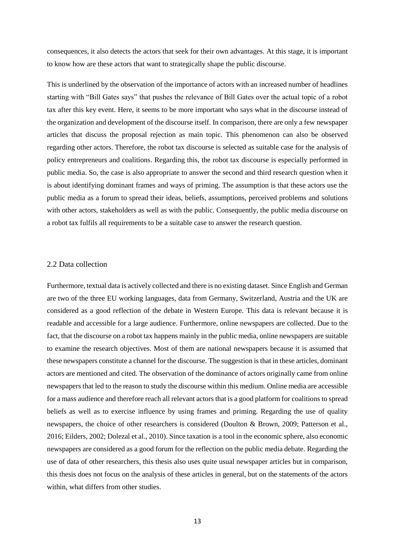consequences, it also detects the actors that seek for their own advantages. At this stage, it is important to know how are these actors that want to strategically shape the public discourse.

This is underlined by the observation of the importance of actors with an increased number of headlines starting with "Bill Gates says" that pushes the relevance of Bill Gates over the actual topic of a robot tax after this key event. Here, it seems to be more important who says what in the discourse instead of the organization and development of the discourse itself. In comparison, there are only a few newspaper articles that discuss the proposal rejection as main topic. This phenomenon can also be observed regarding other actors. Therefore, the robot tax discourse is selected as suitable case for the analysis of policy entrepreneurs and coalitions. Regarding this, the robot tax discourse is especially performed in public media. So, the case is also appropriate to answer the second and third research question when it is about identifying dominant frames and ways of priming. The assumption is that these actors use the public media as a forum to spread their ideas, beliefs, assumptions, perceived problems and solutions with other actors, stakeholders as well as with the public. Consequently, the public media discourse on a robot tax fulfils all requirements to be a suitable case to answer the research question.

#### <span id="page-15-0"></span>2.2 Data collection

Furthermore, textual data is actively collected and there is no existing dataset. Since English and German are two of the three EU working languages, data from Germany, Switzerland, Austria and the UK are considered as a good reflection of the debate in Western Europe. This data is relevant because it is readable and accessible for a large audience. Furthermore, online newspapers are collected. Due to the fact, that the discourse on a robot tax happens mainly in the public media, online newspapers are suitable to examine the research objectives. Most of them are national newspapers because it is assumed that these newspapers constitute a channel for the discourse. The suggestion is that in these articles, dominant actors are mentioned and cited. The observation of the dominance of actors originally came from online newspapers that led to the reason to study the discourse within this medium. Online media are accessible for a mass audience and therefore reach all relevant actors that is a good platform for coalitions to spread beliefs as well as to exercise influence by using frames and priming. Regarding the use of quality newspapers, the choice of other researchers is considered (Doulton & Brown, 2009; Patterson et al., 2016; Eilders, 2002; Dolezal et al., 2010). Since taxation is a tool in the economic sphere, also economic newspapers are considered as a good forum for the reflection on the public media debate. Regarding the use of data of other researchers, this thesis also uses quite usual newspaper articles but in comparison, this thesis does not focus on the analysis of these articles in general, but on the statements of the actors within, what differs from other studies.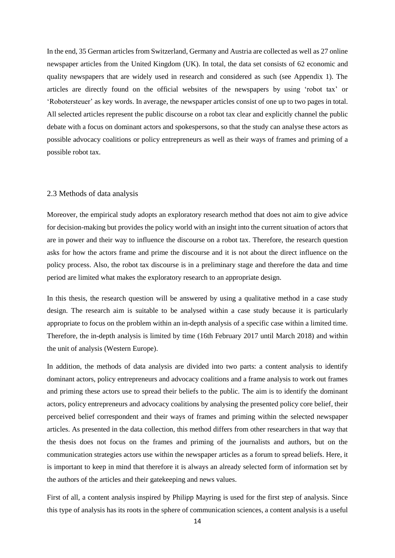In the end, 35 German articles from Switzerland, Germany and Austria are collected as well as 27 online newspaper articles from the United Kingdom (UK). In total, the data set consists of 62 economic and quality newspapers that are widely used in research and considered as such (see Appendix 1). The articles are directly found on the official websites of the newspapers by using 'robot tax' or 'Robotersteuer' as key words. In average, the newspaper articles consist of one up to two pages in total. All selected articles represent the public discourse on a robot tax clear and explicitly channel the public debate with a focus on dominant actors and spokespersons, so that the study can analyse these actors as possible advocacy coalitions or policy entrepreneurs as well as their ways of frames and priming of a possible robot tax.

#### <span id="page-16-0"></span>2.3 Methods of data analysis

Moreover, the empirical study adopts an exploratory research method that does not aim to give advice for decision-making but provides the policy world with an insight into the current situation of actors that are in power and their way to influence the discourse on a robot tax. Therefore, the research question asks for how the actors frame and prime the discourse and it is not about the direct influence on the policy process. Also, the robot tax discourse is in a preliminary stage and therefore the data and time period are limited what makes the exploratory research to an appropriate design.

In this thesis, the research question will be answered by using a qualitative method in a case study design. The research aim is suitable to be analysed within a case study because it is particularly appropriate to focus on the problem within an in-depth analysis of a specific case within a limited time. Therefore, the in-depth analysis is limited by time (16th February 2017 until March 2018) and within the unit of analysis (Western Europe).

In addition, the methods of data analysis are divided into two parts: a content analysis to identify dominant actors, policy entrepreneurs and advocacy coalitions and a frame analysis to work out frames and priming these actors use to spread their beliefs to the public. The aim is to identify the dominant actors, policy entrepreneurs and advocacy coalitions by analysing the presented policy core belief, their perceived belief correspondent and their ways of frames and priming within the selected newspaper articles. As presented in the data collection, this method differs from other researchers in that way that the thesis does not focus on the frames and priming of the journalists and authors, but on the communication strategies actors use within the newspaper articles as a forum to spread beliefs. Here, it is important to keep in mind that therefore it is always an already selected form of information set by the authors of the articles and their gatekeeping and news values.

First of all, a content analysis inspired by Philipp Mayring is used for the first step of analysis. Since this type of analysis has its roots in the sphere of communication sciences, a content analysis is a useful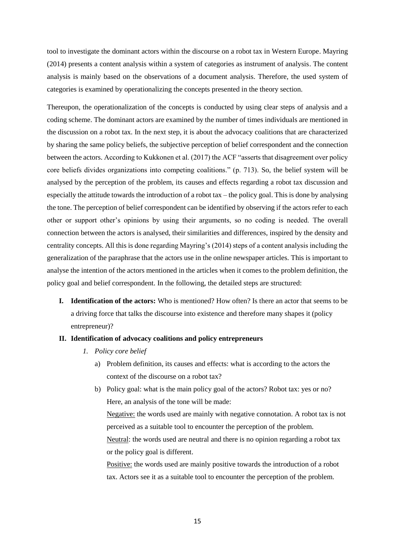tool to investigate the dominant actors within the discourse on a robot tax in Western Europe. Mayring (2014) presents a content analysis within a system of categories as instrument of analysis. The content analysis is mainly based on the observations of a document analysis. Therefore, the used system of categories is examined by operationalizing the concepts presented in the theory section.

Thereupon, the operationalization of the concepts is conducted by using clear steps of analysis and a coding scheme. The dominant actors are examined by the number of times individuals are mentioned in the discussion on a robot tax. In the next step, it is about the advocacy coalitions that are characterized by sharing the same policy beliefs, the subjective perception of belief correspondent and the connection between the actors. According to Kukkonen et al. (2017) the ACF "asserts that disagreement over policy core beliefs divides organizations into competing coalitions." (p. 713). So, the belief system will be analysed by the perception of the problem, its causes and effects regarding a robot tax discussion and especially the attitude towards the introduction of a robot tax – the policy goal. This is done by analysing the tone. The perception of belief correspondent can be identified by observing if the actors refer to each other or support other's opinions by using their arguments, so no coding is needed. The overall connection between the actors is analysed, their similarities and differences, inspired by the density and centrality concepts. All this is done regarding Mayring's (2014) steps of a content analysis including the generalization of the paraphrase that the actors use in the online newspaper articles. This is important to analyse the intention of the actors mentioned in the articles when it comes to the problem definition, the policy goal and belief correspondent. In the following, the detailed steps are structured:

- **I. Identification of the actors:** Who is mentioned? How often? Is there an actor that seems to be a driving force that talks the discourse into existence and therefore many shapes it (policy entrepreneur)?
- **II. Identification of advocacy coalitions and policy entrepreneurs** 
	- *1. Policy core belief* 
		- a) Problem definition, its causes and effects: what is according to the actors the context of the discourse on a robot tax?
		- b) Policy goal: what is the main policy goal of the actors? Robot tax: yes or no? Here, an analysis of the tone will be made:

Negative: the words used are mainly with negative connotation. A robot tax is not perceived as a suitable tool to encounter the perception of the problem. Neutral: the words used are neutral and there is no opinion regarding a robot tax

or the policy goal is different.

Positive: the words used are mainly positive towards the introduction of a robot tax. Actors see it as a suitable tool to encounter the perception of the problem.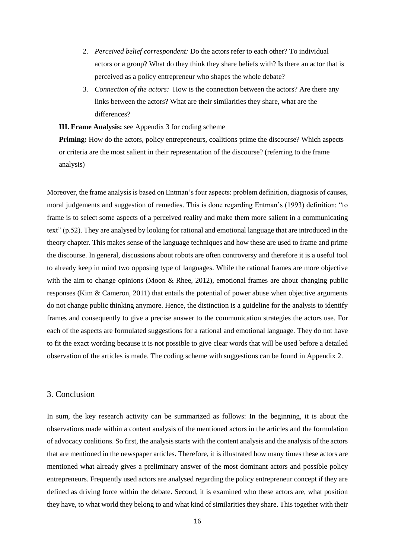- 2. *Perceived belief correspondent:* Do the actors refer to each other? To individual actors or a group? What do they think they share beliefs with? Is there an actor that is perceived as a policy entrepreneur who shapes the whole debate?
- 3. *Connection of the actors:* How is the connection between the actors? Are there any links between the actors? What are their similarities they share, what are the differences?

**III. Frame Analysis:** see Appendix 3 for coding scheme

**Priming:** How do the actors, policy entrepreneurs, coalitions prime the discourse? Which aspects or criteria are the most salient in their representation of the discourse? (referring to the frame analysis)

Moreover, the frame analysis is based on Entman's four aspects: problem definition, diagnosis of causes, moral judgements and suggestion of remedies. This is done regarding Entman's (1993) definition: "to frame is to select some aspects of a perceived reality and make them more salient in a communicating text" (p.52). They are analysed by looking for rational and emotional language that are introduced in the theory chapter. This makes sense of the language techniques and how these are used to frame and prime the discourse. In general, discussions about robots are often controversy and therefore it is a useful tool to already keep in mind two opposing type of languages. While the rational frames are more objective with the aim to change opinions (Moon & Rhee, 2012), emotional frames are about changing public responses (Kim & Cameron, 2011) that entails the potential of power abuse when objective arguments do not change public thinking anymore. Hence, the distinction is a guideline for the analysis to identify frames and consequently to give a precise answer to the communication strategies the actors use. For each of the aspects are formulated suggestions for a rational and emotional language. They do not have to fit the exact wording because it is not possible to give clear words that will be used before a detailed observation of the articles is made. The coding scheme with suggestions can be found in Appendix 2.

#### <span id="page-18-0"></span>3. Conclusion

In sum, the key research activity can be summarized as follows: In the beginning, it is about the observations made within a content analysis of the mentioned actors in the articles and the formulation of advocacy coalitions. So first, the analysis starts with the content analysis and the analysis of the actors that are mentioned in the newspaper articles. Therefore, it is illustrated how many times these actors are mentioned what already gives a preliminary answer of the most dominant actors and possible policy entrepreneurs. Frequently used actors are analysed regarding the policy entrepreneur concept if they are defined as driving force within the debate. Second, it is examined who these actors are, what position they have, to what world they belong to and what kind of similarities they share. This together with their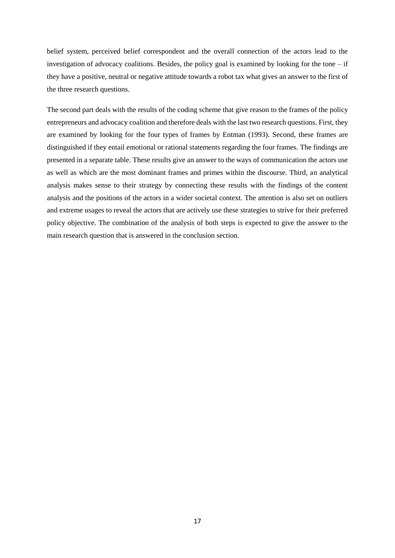belief system, perceived belief correspondent and the overall connection of the actors lead to the investigation of advocacy coalitions. Besides, the policy goal is examined by looking for the tone  $-$  if they have a positive, neutral or negative attitude towards a robot tax what gives an answer to the first of the three research questions.

The second part deals with the results of the coding scheme that give reason to the frames of the policy entrepreneurs and advocacy coalition and therefore deals with the last two research questions. First, they are examined by looking for the four types of frames by Entman (1993). Second, these frames are distinguished if they entail emotional or rational statements regarding the four frames. The findings are presented in a separate table. These results give an answer to the ways of communication the actors use as well as which are the most dominant frames and primes within the discourse. Third, an analytical analysis makes sense to their strategy by connecting these results with the findings of the content analysis and the positions of the actors in a wider societal context. The attention is also set on outliers and extreme usages to reveal the actors that are actively use these strategies to strive for their preferred policy objective. The combination of the analysis of both steps is expected to give the answer to the main research question that is answered in the conclusion section.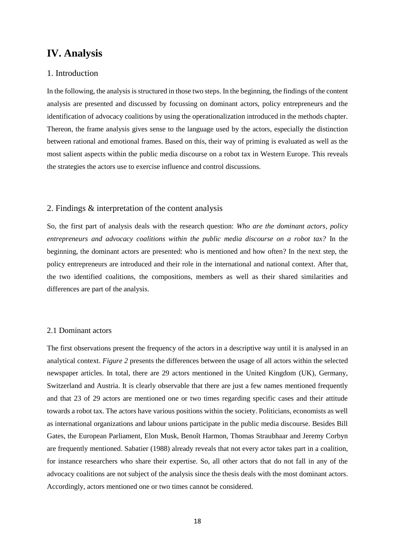# <span id="page-20-0"></span>**IV. Analysis**

#### <span id="page-20-1"></span>1. Introduction

In the following, the analysis is structured in those two steps. In the beginning, the findings of the content analysis are presented and discussed by focussing on dominant actors, policy entrepreneurs and the identification of advocacy coalitions by using the operationalization introduced in the methods chapter. Thereon, the frame analysis gives sense to the language used by the actors, especially the distinction between rational and emotional frames. Based on this, their way of priming is evaluated as well as the most salient aspects within the public media discourse on a robot tax in Western Europe. This reveals the strategies the actors use to exercise influence and control discussions.

#### <span id="page-20-2"></span>2. Findings & interpretation of the content analysis

So, the first part of analysis deals with the research question: *Who are the dominant actors, policy entrepreneurs and advocacy coalitions within the public media discourse on a robot tax?* In the beginning, the dominant actors are presented: who is mentioned and how often? In the next step, the policy entrepreneurs are introduced and their role in the international and national context. After that, the two identified coalitions, the compositions, members as well as their shared similarities and differences are part of the analysis.

#### <span id="page-20-3"></span>2.1 Dominant actors

The first observations present the frequency of the actors in a descriptive way until it is analysed in an analytical context. *Figure 2* presents the differences between the usage of all actors within the selected newspaper articles. In total, there are 29 actors mentioned in the United Kingdom (UK), Germany, Switzerland and Austria. It is clearly observable that there are just a few names mentioned frequently and that 23 of 29 actors are mentioned one or two times regarding specific cases and their attitude towards a robot tax. The actors have various positions within the society. Politicians, economists as well as international organizations and labour unions participate in the public media discourse. Besides Bill Gates, the European Parliament, Elon Musk, Benoît Harmon, Thomas Straubhaar and Jeremy Corbyn are frequently mentioned. Sabatier (1988) already reveals that not every actor takes part in a coalition, for instance researchers who share their expertise. So, all other actors that do not fall in any of the advocacy coalitions are not subject of the analysis since the thesis deals with the most dominant actors. Accordingly, actors mentioned one or two times cannot be considered.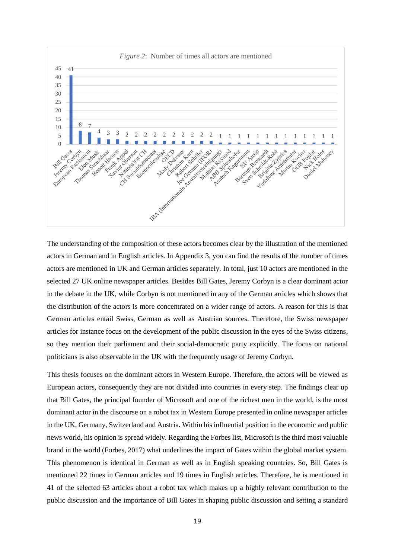

The understanding of the composition of these actors becomes clear by the illustration of the mentioned actors in German and in English articles. In Appendix 3, you can find the results of the number of times actors are mentioned in UK and German articles separately. In total, just 10 actors are mentioned in the selected 27 UK online newspaper articles. Besides Bill Gates, Jeremy Corbyn is a clear dominant actor in the debate in the UK, while Corbyn is not mentioned in any of the German articles which shows that the distribution of the actors is more concentrated on a wider range of actors. A reason for this is that German articles entail Swiss, German as well as Austrian sources. Therefore, the Swiss newspaper articles for instance focus on the development of the public discussion in the eyes of the Swiss citizens, so they mention their parliament and their social-democratic party explicitly. The focus on national politicians is also observable in the UK with the frequently usage of Jeremy Corbyn.

This thesis focuses on the dominant actors in Western Europe. Therefore, the actors will be viewed as European actors, consequently they are not divided into countries in every step. The findings clear up that Bill Gates, the principal founder of Microsoft and one of the richest men in the world, is the most dominant actor in the discourse on a robot tax in Western Europe presented in online newspaper articles in the UK, Germany, Switzerland and Austria. Within his influential position in the economic and public news world, his opinion is spread widely. Regarding the Forbes list, Microsoft is the third most valuable brand in the world (Forbes, 2017) what underlines the impact of Gates within the global market system. This phenomenon is identical in German as well as in English speaking countries. So, Bill Gates is mentioned 22 times in German articles and 19 times in English articles. Therefore, he is mentioned in 41 of the selected 63 articles about a robot tax which makes up a highly relevant contribution to the public discussion and the importance of Bill Gates in shaping public discussion and setting a standard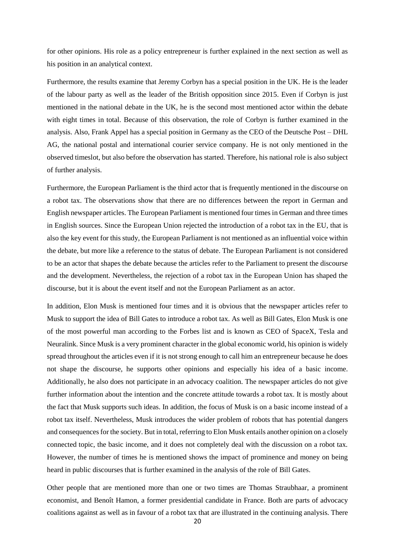for other opinions. His role as a policy entrepreneur is further explained in the next section as well as his position in an analytical context.

Furthermore, the results examine that Jeremy Corbyn has a special position in the UK. He is the leader of the labour party as well as the leader of the British opposition since 2015. Even if Corbyn is just mentioned in the national debate in the UK, he is the second most mentioned actor within the debate with eight times in total. Because of this observation, the role of Corbyn is further examined in the analysis. Also, Frank Appel has a special position in Germany as the CEO of the Deutsche Post – DHL AG, the national postal and international courier service company. He is not only mentioned in the observed timeslot, but also before the observation has started. Therefore, his national role is also subject of further analysis.

Furthermore, the European Parliament is the third actor that is frequently mentioned in the discourse on a robot tax. The observations show that there are no differences between the report in German and English newspaper articles. The European Parliament is mentioned four times in German and three times in English sources. Since the European Union rejected the introduction of a robot tax in the EU, that is also the key event for this study, the European Parliament is not mentioned as an influential voice within the debate, but more like a reference to the status of debate. The European Parliament is not considered to be an actor that shapes the debate because the articles refer to the Parliament to present the discourse and the development. Nevertheless, the rejection of a robot tax in the European Union has shaped the discourse, but it is about the event itself and not the European Parliament as an actor.

In addition, Elon Musk is mentioned four times and it is obvious that the newspaper articles refer to Musk to support the idea of Bill Gates to introduce a robot tax. As well as Bill Gates, Elon Musk is one of the most powerful man according to the Forbes list and is known as CEO of SpaceX, Tesla and Neuralink. Since Musk is a very prominent character in the global economic world, his opinion is widely spread throughout the articles even if it is not strong enough to call him an entrepreneur because he does not shape the discourse, he supports other opinions and especially his idea of a basic income. Additionally, he also does not participate in an advocacy coalition. The newspaper articles do not give further information about the intention and the concrete attitude towards a robot tax. It is mostly about the fact that Musk supports such ideas. In addition, the focus of Musk is on a basic income instead of a robot tax itself. Nevertheless, Musk introduces the wider problem of robots that has potential dangers and consequences for the society. But in total, referring to Elon Musk entails another opinion on a closely connected topic, the basic income, and it does not completely deal with the discussion on a robot tax. However, the number of times he is mentioned shows the impact of prominence and money on being heard in public discourses that is further examined in the analysis of the role of Bill Gates.

Other people that are mentioned more than one or two times are Thomas Straubhaar, a prominent economist, and Benoît Hamon, a former presidential candidate in France. Both are parts of advocacy coalitions against as well as in favour of a robot tax that are illustrated in the continuing analysis. There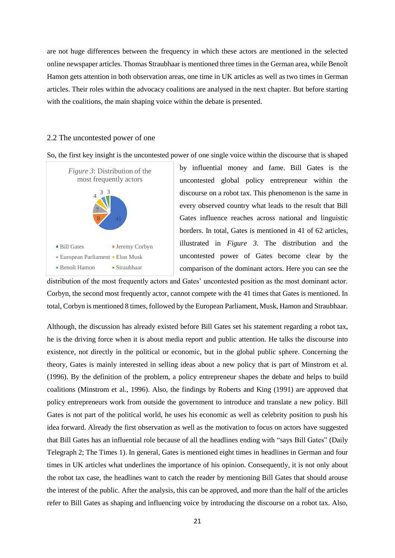are not huge differences between the frequency in which these actors are mentioned in the selected online newspaper articles. Thomas Straubhaar is mentioned three times in the German area, while Benoît Hamon gets attention in both observation areas, one time in UK articles as well as two times in German articles. Their roles within the advocacy coalitions are analysed in the next chapter. But before starting with the coalitions, the main shaping voice within the debate is presented.

#### <span id="page-23-0"></span>2.2 The uncontested power of one

So, the first key insight is the uncontested power of one single voice within the discourse that is shaped



by influential money and fame. Bill Gates is the uncontested global policy entrepreneur within the discourse on a robot tax. This phenomenon is the same in every observed country what leads to the result that Bill Gates influence reaches across national and linguistic borders. In total, Gates is mentioned in 41 of 62 articles, illustrated in *Figure 3*. The distribution and the uncontested power of Gates become clear by the comparison of the dominant actors. Here you can see the

distribution of the most frequently actors and Gates' uncontested position as the most dominant actor. Corbyn, the second most frequently actor, cannot compete with the 41 times that Gates is mentioned. In total, Corbyn is mentioned 8 times, followed by the European Parliament, Musk, Hamon and Straubhaar.

Although, the discussion has already existed before Bill Gates set his statement regarding a robot tax, he is the driving force when it is about media report and public attention. He talks the discourse into existence, not directly in the political or economic, but in the global public sphere. Concerning the theory, Gates is mainly interested in selling ideas about a new policy that is part of Minstrom et al. (1996). By the definition of the problem, a policy entrepreneur shapes the debate and helps to build coalitions (Minstrom et al., 1996). Also, the findings by Roberts and King (1991) are approved that policy entrepreneurs work from outside the government to introduce and translate a new policy. Bill Gates is not part of the political world, he uses his economic as well as celebrity position to push his idea forward. Already the first observation as well as the motivation to focus on actors have suggested that Bill Gates has an influential role because of all the headlines ending with "says Bill Gates" (Daily Telegraph 2; The Times 1). In general, Gates is mentioned eight times in headlines in German and four times in UK articles what underlines the importance of his opinion. Consequently, it is not only about the robot tax case, the headlines want to catch the reader by mentioning Bill Gates that should arouse the interest of the public. After the analysis, this can be approved, and more than the half of the articles refer to Bill Gates as shaping and influencing voice by introducing the discourse on a robot tax. Also,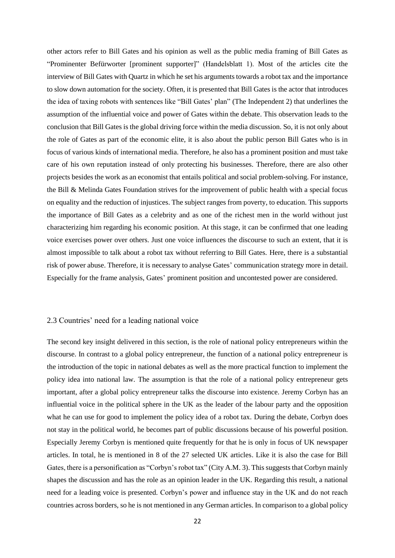other actors refer to Bill Gates and his opinion as well as the public media framing of Bill Gates as "Prominenter Befürworter [prominent supporter]" (Handelsblatt 1). Most of the articles cite the interview of Bill Gates with Quartz in which he set his arguments towards a robot tax and the importance to slow down automation for the society. Often, it is presented that Bill Gates is the actor that introduces the idea of taxing robots with sentences like "Bill Gates' plan" (The Independent 2) that underlines the assumption of the influential voice and power of Gates within the debate. This observation leads to the conclusion that Bill Gates is the global driving force within the media discussion. So, it is not only about the role of Gates as part of the economic elite, it is also about the public person Bill Gates who is in focus of various kinds of international media. Therefore, he also has a prominent position and must take care of his own reputation instead of only protecting his businesses. Therefore, there are also other projects besides the work as an economist that entails political and social problem-solving. For instance, the Bill & Melinda Gates Foundation strives for the improvement of public health with a special focus on equality and the reduction of injustices. The subject ranges from poverty, to education. This supports the importance of Bill Gates as a celebrity and as one of the richest men in the world without just characterizing him regarding his economic position. At this stage, it can be confirmed that one leading voice exercises power over others. Just one voice influences the discourse to such an extent, that it is almost impossible to talk about a robot tax without referring to Bill Gates. Here, there is a substantial risk of power abuse. Therefore, it is necessary to analyse Gates' communication strategy more in detail. Especially for the frame analysis, Gates' prominent position and uncontested power are considered.

#### <span id="page-24-0"></span>2.3 Countries' need for a leading national voice

The second key insight delivered in this section, is the role of national policy entrepreneurs within the discourse. In contrast to a global policy entrepreneur, the function of a national policy entrepreneur is the introduction of the topic in national debates as well as the more practical function to implement the policy idea into national law. The assumption is that the role of a national policy entrepreneur gets important, after a global policy entrepreneur talks the discourse into existence. Jeremy Corbyn has an influential voice in the political sphere in the UK as the leader of the labour party and the opposition what he can use for good to implement the policy idea of a robot tax. During the debate, Corbyn does not stay in the political world, he becomes part of public discussions because of his powerful position. Especially Jeremy Corbyn is mentioned quite frequently for that he is only in focus of UK newspaper articles. In total, he is mentioned in 8 of the 27 selected UK articles. Like it is also the case for Bill Gates, there is a personification as "Corbyn's robot tax" (City A.M. 3). This suggests that Corbyn mainly shapes the discussion and has the role as an opinion leader in the UK. Regarding this result, a national need for a leading voice is presented. Corbyn's power and influence stay in the UK and do not reach countries across borders, so he is not mentioned in any German articles. In comparison to a global policy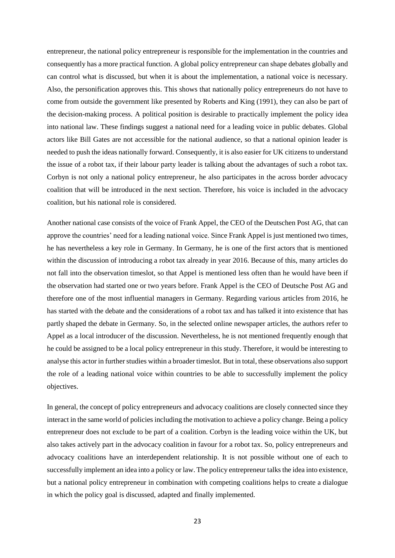entrepreneur, the national policy entrepreneur is responsible for the implementation in the countries and consequently has a more practical function. A global policy entrepreneur can shape debates globally and can control what is discussed, but when it is about the implementation, a national voice is necessary. Also, the personification approves this. This shows that nationally policy entrepreneurs do not have to come from outside the government like presented by Roberts and King (1991), they can also be part of the decision-making process. A political position is desirable to practically implement the policy idea into national law. These findings suggest a national need for a leading voice in public debates. Global actors like Bill Gates are not accessible for the national audience, so that a national opinion leader is needed to push the ideas nationally forward. Consequently, it is also easier for UK citizens to understand the issue of a robot tax, if their labour party leader is talking about the advantages of such a robot tax. Corbyn is not only a national policy entrepreneur, he also participates in the across border advocacy coalition that will be introduced in the next section. Therefore, his voice is included in the advocacy coalition, but his national role is considered.

Another national case consists of the voice of Frank Appel, the CEO of the Deutschen Post AG, that can approve the countries' need for a leading national voice. Since Frank Appel is just mentioned two times, he has nevertheless a key role in Germany. In Germany, he is one of the first actors that is mentioned within the discussion of introducing a robot tax already in year 2016. Because of this, many articles do not fall into the observation timeslot, so that Appel is mentioned less often than he would have been if the observation had started one or two years before. Frank Appel is the CEO of Deutsche Post AG and therefore one of the most influential managers in Germany. Regarding various articles from 2016, he has started with the debate and the considerations of a robot tax and has talked it into existence that has partly shaped the debate in Germany. So, in the selected online newspaper articles, the authors refer to Appel as a local introducer of the discussion. Nevertheless, he is not mentioned frequently enough that he could be assigned to be a local policy entrepreneur in this study. Therefore, it would be interesting to analyse this actor in further studies within a broader timeslot. But in total, these observations also support the role of a leading national voice within countries to be able to successfully implement the policy objectives.

In general, the concept of policy entrepreneurs and advocacy coalitions are closely connected since they interact in the same world of policies including the motivation to achieve a policy change. Being a policy entrepreneur does not exclude to be part of a coalition. Corbyn is the leading voice within the UK, but also takes actively part in the advocacy coalition in favour for a robot tax. So, policy entrepreneurs and advocacy coalitions have an interdependent relationship. It is not possible without one of each to successfully implement an idea into a policy or law. The policy entrepreneur talks the idea into existence, but a national policy entrepreneur in combination with competing coalitions helps to create a dialogue in which the policy goal is discussed, adapted and finally implemented.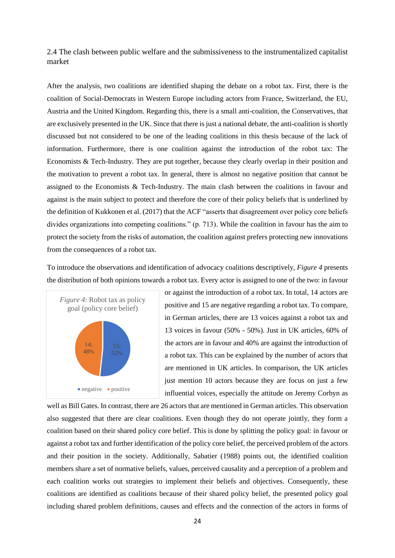<span id="page-26-0"></span>2.4 The clash between public welfare and the submissiveness to the instrumentalized capitalist market

After the analysis, two coalitions are identified shaping the debate on a robot tax. First, there is the coalition of Social-Democrats in Western Europe including actors from France, Switzerland, the EU, Austria and the United Kingdom. Regarding this, there is a small anti-coalition, the Conservatives, that are exclusively presented in the UK. Since that there is just a national debate, the anti-coalition is shortly discussed but not considered to be one of the leading coalitions in this thesis because of the lack of information. Furthermore, there is one coalition against the introduction of the robot tax: The Economists & Tech-Industry. They are put together, because they clearly overlap in their position and the motivation to prevent a robot tax. In general, there is almost no negative position that cannot be assigned to the Economists & Tech-Industry. The main clash between the coalitions in favour and against is the main subject to protect and therefore the core of their policy beliefs that is underlined by the definition of Kukkonen et al. (2017) that the ACF "asserts that disagreement over policy core beliefs divides organizations into competing coalitions." (p. 713). While the coalition in favour has the aim to protect the society from the risks of automation, the coalition against prefers protecting new innovations from the consequences of a robot tax.

To introduce the observations and identification of advocacy coalitions descriptively, *Figure 4* presents the distribution of both opinions towards a robot tax. Every actor is assigned to one of the two: in favour



or against the introduction of a robot tax. In total, 14 actors are positive and 15 are negative regarding a robot tax. To compare, in German articles, there are 13 voices against a robot tax and 13 voices in favour (50% - 50%). Just in UK articles, 60% of the actors are in favour and 40% are against the introduction of a robot tax. This can be explained by the number of actors that are mentioned in UK articles. In comparison, the UK articles just mention 10 actors because they are focus on just a few influential voices, especially the attitude on Jeremy Corbyn as

well as Bill Gates. In contrast, there are 26 actors that are mentioned in German articles. This observation also suggested that there are clear coalitions. Even though they do not operate jointly, they form a coalition based on their shared policy core belief. This is done by splitting the policy goal: in favour or against a robot tax and further identification of the policy core belief, the perceived problem of the actors and their position in the society. Additionally, Sabatier (1988) points out, the identified coalition members share a set of normative beliefs, values, perceived causality and a perception of a problem and each coalition works out strategies to implement their beliefs and objectives. Consequently, these coalitions are identified as coalitions because of their shared policy belief, the presented policy goal including shared problem definitions, causes and effects and the connection of the actors in forms of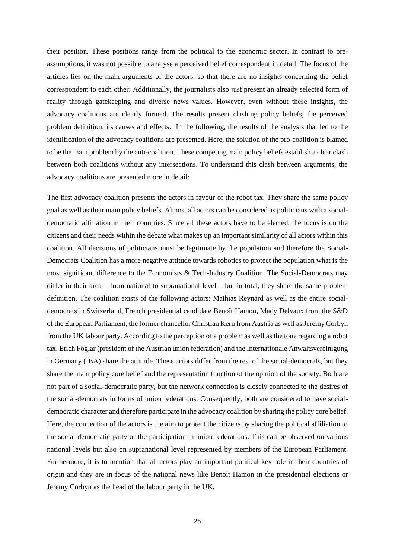their position. These positions range from the political to the economic sector. In contrast to preassumptions, it was not possible to analyse a perceived belief correspondent in detail. The focus of the articles lies on the main arguments of the actors, so that there are no insights concerning the belief correspondent to each other. Additionally, the journalists also just present an already selected form of reality through gatekeeping and diverse news values. However, even without these insights, the advocacy coalitions are clearly formed. The results present clashing policy beliefs, the perceived problem definition, its causes and effects. In the following, the results of the analysis that led to the identification of the advocacy coalitions are presented. Here, the solution of the pro-coalition is blamed to be the main problem by the anti-coalition. These competing main policy beliefs establish a clear clash between both coalitions without any intersections. To understand this clash between arguments, the advocacy coalitions are presented more in detail:

The first advocacy coalition presents the actors in favour of the robot tax. They share the same policy goal as well as their main policy beliefs. Almost all actors can be considered as politicians with a socialdemocratic affiliation in their countries. Since all these actors have to be elected, the focus is on the citizens and their needs within the debate what makes up an important similarity of all actors within this coalition. All decisions of politicians must be legitimate by the population and therefore the Social-Democrats Coalition has a more negative attitude towards robotics to protect the population what is the most significant difference to the Economists & Tech-Industry Coalition. The Social-Democrats may differ in their area – from national to supranational level – but in total, they share the same problem definition. The coalition exists of the following actors: Mathias Reynard as well as the entire socialdemocrats in Switzerland, French presidential candidate Benoît Hamon, Mady Delvaux from the S&D of the European Parliament, the former chancellor Christian Kern from Austria as well as Jeremy Corbyn from the UK labour party. According to the perception of a problem as well as the tone regarding a robot tax, Erich Föglar (president of the Austrian union federation) and the Internationale Anwaltsvereinigung in Germany (IBA) share the attitude. These actors differ from the rest of the social-democrats, but they share the main policy core belief and the representation function of the opinion of the society. Both are not part of a social-democratic party, but the network connection is closely connected to the desires of the social-democrats in forms of union federations. Consequently, both are considered to have socialdemocratic character and therefore participate in the advocacy coalition by sharing the policy core belief. Here, the connection of the actors is the aim to protect the citizens by sharing the political affiliation to the social-democratic party or the participation in union federations. This can be observed on various national levels but also on supranational level represented by members of the European Parliament. Furthermore, it is to mention that all actors play an important political key role in their countries of origin and they are in focus of the national news like Benoît Hamon in the presidential elections or Jeremy Corbyn as the head of the labour party in the UK.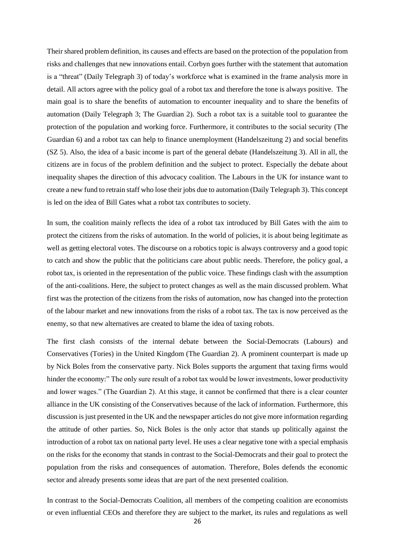Their shared problem definition, its causes and effects are based on the protection of the population from risks and challenges that new innovations entail. Corbyn goes further with the statement that automation is a "threat" (Daily Telegraph 3) of today's workforce what is examined in the frame analysis more in detail. All actors agree with the policy goal of a robot tax and therefore the tone is always positive. The main goal is to share the benefits of automation to encounter inequality and to share the benefits of automation (Daily Telegraph 3; The Guardian 2). Such a robot tax is a suitable tool to guarantee the protection of the population and working force. Furthermore, it contributes to the social security (The Guardian 6) and a robot tax can help to finance unemployment (Handelszeitung 2) and social benefits (SZ 5). Also, the idea of a basic income is part of the general debate (Handelszeitung 3). All in all, the citizens are in focus of the problem definition and the subject to protect. Especially the debate about inequality shapes the direction of this advocacy coalition. The Labours in the UK for instance want to create a new fund to retrain staff who lose their jobs due to automation (Daily Telegraph 3). This concept is led on the idea of Bill Gates what a robot tax contributes to society.

In sum, the coalition mainly reflects the idea of a robot tax introduced by Bill Gates with the aim to protect the citizens from the risks of automation. In the world of policies, it is about being legitimate as well as getting electoral votes. The discourse on a robotics topic is always controversy and a good topic to catch and show the public that the politicians care about public needs. Therefore, the policy goal, a robot tax, is oriented in the representation of the public voice. These findings clash with the assumption of the anti-coalitions. Here, the subject to protect changes as well as the main discussed problem. What first was the protection of the citizens from the risks of automation, now has changed into the protection of the labour market and new innovations from the risks of a robot tax. The tax is now perceived as the enemy, so that new alternatives are created to blame the idea of taxing robots.

The first clash consists of the internal debate between the Social-Democrats (Labours) and Conservatives (Tories) in the United Kingdom (The Guardian 2). A prominent counterpart is made up by Nick Boles from the conservative party. Nick Boles supports the argument that taxing firms would hinder the economy:" The only sure result of a robot tax would be lower investments, lower productivity and lower wages." (The Guardian 2). At this stage, it cannot be confirmed that there is a clear counter alliance in the UK consisting of the Conservatives because of the lack of information. Furthermore, this discussion is just presented in the UK and the newspaper articles do not give more information regarding the attitude of other parties. So, Nick Boles is the only actor that stands up politically against the introduction of a robot tax on national party level. He uses a clear negative tone with a special emphasis on the risks for the economy that stands in contrast to the Social-Democrats and their goal to protect the population from the risks and consequences of automation. Therefore, Boles defends the economic sector and already presents some ideas that are part of the next presented coalition.

In contrast to the Social-Democrats Coalition, all members of the competing coalition are economists or even influential CEOs and therefore they are subject to the market, its rules and regulations as well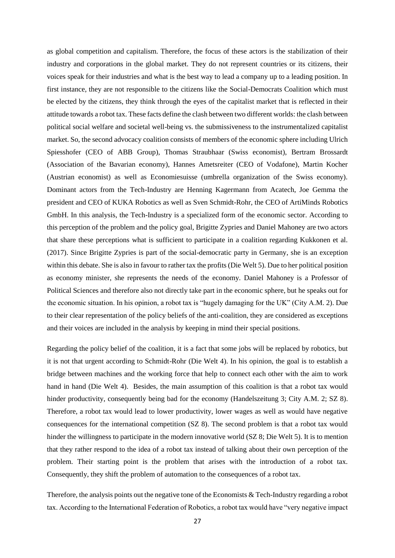as global competition and capitalism. Therefore, the focus of these actors is the stabilization of their industry and corporations in the global market. They do not represent countries or its citizens, their voices speak for their industries and what is the best way to lead a company up to a leading position. In first instance, they are not responsible to the citizens like the Social-Democrats Coalition which must be elected by the citizens, they think through the eyes of the capitalist market that is reflected in their attitude towards a robot tax. These facts define the clash between two different worlds: the clash between political social welfare and societal well-being vs. the submissiveness to the instrumentalized capitalist market. So, the second advocacy coalition consists of members of the economic sphere including Ulrich Spiesshofer (CEO of ABB Group), Thomas Straubhaar (Swiss economist), Bertram Brossardt (Association of the Bavarian economy), Hannes Ametsreiter (CEO of Vodafone), Martin Kocher (Austrian economist) as well as Economiesuisse (umbrella organization of the Swiss economy). Dominant actors from the Tech-Industry are Henning Kagermann from Acatech, Joe Gemma the president and CEO of KUKA Robotics as well as Sven Schmidt-Rohr, the CEO of ArtiMinds Robotics GmbH. In this analysis, the Tech-Industry is a specialized form of the economic sector. According to this perception of the problem and the policy goal, Brigitte Zypries and Daniel Mahoney are two actors that share these perceptions what is sufficient to participate in a coalition regarding Kukkonen et al. (2017). Since Brigitte Zypries is part of the social-democratic party in Germany, she is an exception within this debate. She is also in favour to rather tax the profits (Die Welt 5). Due to her political position as economy minister, she represents the needs of the economy. Daniel Mahoney is a Professor of Political Sciences and therefore also not directly take part in the economic sphere, but he speaks out for the economic situation. In his opinion, a robot tax is "hugely damaging for the UK" (City A.M. 2). Due to their clear representation of the policy beliefs of the anti-coalition, they are considered as exceptions and their voices are included in the analysis by keeping in mind their special positions.

Regarding the policy belief of the coalition, it is a fact that some jobs will be replaced by robotics, but it is not that urgent according to Schmidt-Rohr (Die Welt 4). In his opinion, the goal is to establish a bridge between machines and the working force that help to connect each other with the aim to work hand in hand (Die Welt 4). Besides, the main assumption of this coalition is that a robot tax would hinder productivity, consequently being bad for the economy (Handelszeitung 3; City A.M. 2; SZ 8). Therefore, a robot tax would lead to lower productivity, lower wages as well as would have negative consequences for the international competition (SZ 8). The second problem is that a robot tax would hinder the willingness to participate in the modern innovative world (SZ 8; Die Welt 5). It is to mention that they rather respond to the idea of a robot tax instead of talking about their own perception of the problem. Their starting point is the problem that arises with the introduction of a robot tax. Consequently, they shift the problem of automation to the consequences of a robot tax.

Therefore, the analysis points out the negative tone of the Economists & Tech-Industry regarding a robot tax. According to the International Federation of Robotics, a robot tax would have "very negative impact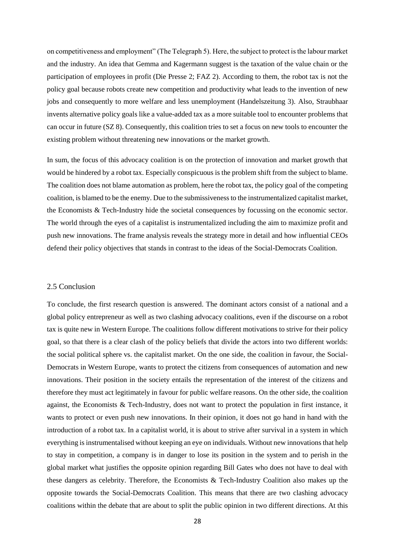on competitiveness and employment" (The Telegraph 5). Here, the subject to protect is the labour market and the industry. An idea that Gemma and Kagermann suggest is the taxation of the value chain or the participation of employees in profit (Die Presse 2; FAZ 2). According to them, the robot tax is not the policy goal because robots create new competition and productivity what leads to the invention of new jobs and consequently to more welfare and less unemployment (Handelszeitung 3). Also, Straubhaar invents alternative policy goals like a value-added tax as a more suitable tool to encounter problems that can occur in future (SZ 8). Consequently, this coalition tries to set a focus on new tools to encounter the existing problem without threatening new innovations or the market growth.

In sum, the focus of this advocacy coalition is on the protection of innovation and market growth that would be hindered by a robot tax. Especially conspicuous is the problem shift from the subject to blame. The coalition does not blame automation as problem, here the robot tax, the policy goal of the competing coalition, is blamed to be the enemy. Due to the submissiveness to the instrumentalized capitalist market, the Economists & Tech-Industry hide the societal consequences by focussing on the economic sector. The world through the eyes of a capitalist is instrumentalized including the aim to maximize profit and push new innovations. The frame analysis reveals the strategy more in detail and how influential CEOs defend their policy objectives that stands in contrast to the ideas of the Social-Democrats Coalition.

#### <span id="page-30-0"></span>2.5 Conclusion

To conclude, the first research question is answered. The dominant actors consist of a national and a global policy entrepreneur as well as two clashing advocacy coalitions, even if the discourse on a robot tax is quite new in Western Europe. The coalitions follow different motivations to strive for their policy goal, so that there is a clear clash of the policy beliefs that divide the actors into two different worlds: the social political sphere vs. the capitalist market. On the one side, the coalition in favour, the Social-Democrats in Western Europe, wants to protect the citizens from consequences of automation and new innovations. Their position in the society entails the representation of the interest of the citizens and therefore they must act legitimately in favour for public welfare reasons. On the other side, the coalition against, the Economists & Tech-Industry, does not want to protect the population in first instance, it wants to protect or even push new innovations. In their opinion, it does not go hand in hand with the introduction of a robot tax. In a capitalist world, it is about to strive after survival in a system in which everything is instrumentalised without keeping an eye on individuals. Without new innovations that help to stay in competition, a company is in danger to lose its position in the system and to perish in the global market what justifies the opposite opinion regarding Bill Gates who does not have to deal with these dangers as celebrity. Therefore, the Economists & Tech-Industry Coalition also makes up the opposite towards the Social-Democrats Coalition. This means that there are two clashing advocacy coalitions within the debate that are about to split the public opinion in two different directions. At this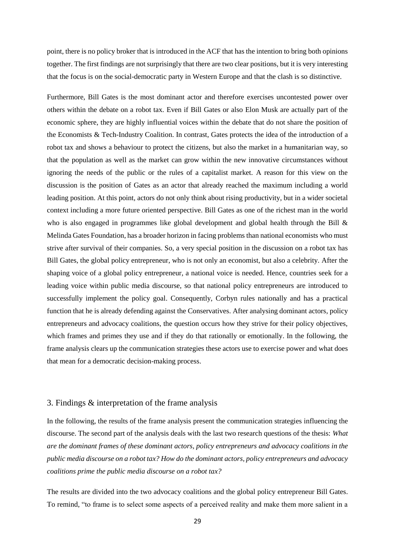point, there is no policy broker that is introduced in the ACF that has the intention to bring both opinions together. The first findings are not surprisingly that there are two clear positions, but it is very interesting that the focus is on the social-democratic party in Western Europe and that the clash is so distinctive.

Furthermore, Bill Gates is the most dominant actor and therefore exercises uncontested power over others within the debate on a robot tax. Even if Bill Gates or also Elon Musk are actually part of the economic sphere, they are highly influential voices within the debate that do not share the position of the Economists & Tech-Industry Coalition. In contrast, Gates protects the idea of the introduction of a robot tax and shows a behaviour to protect the citizens, but also the market in a humanitarian way, so that the population as well as the market can grow within the new innovative circumstances without ignoring the needs of the public or the rules of a capitalist market. A reason for this view on the discussion is the position of Gates as an actor that already reached the maximum including a world leading position. At this point, actors do not only think about rising productivity, but in a wider societal context including a more future oriented perspective. Bill Gates as one of the richest man in the world who is also engaged in programmes like global development and global health through the Bill  $\&$ Melinda Gates Foundation, has a broader horizon in facing problems than national economists who must strive after survival of their companies. So, a very special position in the discussion on a robot tax has Bill Gates, the global policy entrepreneur, who is not only an economist, but also a celebrity. After the shaping voice of a global policy entrepreneur, a national voice is needed. Hence, countries seek for a leading voice within public media discourse, so that national policy entrepreneurs are introduced to successfully implement the policy goal. Consequently, Corbyn rules nationally and has a practical function that he is already defending against the Conservatives. After analysing dominant actors, policy entrepreneurs and advocacy coalitions, the question occurs how they strive for their policy objectives, which frames and primes they use and if they do that rationally or emotionally. In the following, the frame analysis clears up the communication strategies these actors use to exercise power and what does that mean for a democratic decision-making process.

#### <span id="page-31-0"></span>3. Findings & interpretation of the frame analysis

In the following, the results of the frame analysis present the communication strategies influencing the discourse. The second part of the analysis deals with the last two research questions of the thesis: *What are the dominant frames of these dominant actors, policy entrepreneurs and advocacy coalitions in the public media discourse on a robot tax? How do the dominant actors, policy entrepreneurs and advocacy coalitions prime the public media discourse on a robot tax?*

The results are divided into the two advocacy coalitions and the global policy entrepreneur Bill Gates. To remind, "to frame is to select some aspects of a perceived reality and make them more salient in a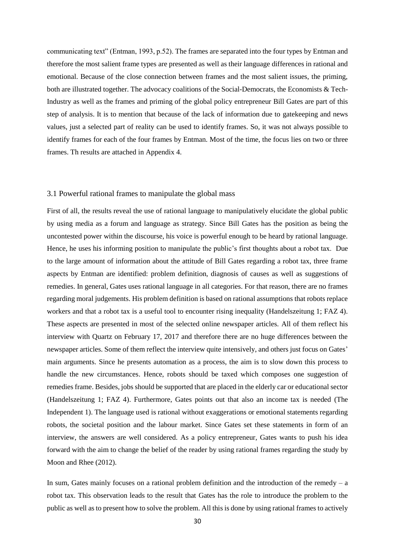communicating text" (Entman, 1993, p.52). The frames are separated into the four types by Entman and therefore the most salient frame types are presented as well as their language differences in rational and emotional. Because of the close connection between frames and the most salient issues, the priming, both are illustrated together. The advocacy coalitions of the Social-Democrats, the Economists & Tech-Industry as well as the frames and priming of the global policy entrepreneur Bill Gates are part of this step of analysis. It is to mention that because of the lack of information due to gatekeeping and news values, just a selected part of reality can be used to identify frames. So, it was not always possible to identify frames for each of the four frames by Entman. Most of the time, the focus lies on two or three frames. Th results are attached in Appendix 4.

#### <span id="page-32-0"></span>3.1 Powerful rational frames to manipulate the global mass

First of all, the results reveal the use of rational language to manipulatively elucidate the global public by using media as a forum and language as strategy. Since Bill Gates has the position as being the uncontested power within the discourse, his voice is powerful enough to be heard by rational language. Hence, he uses his informing position to manipulate the public's first thoughts about a robot tax. Due to the large amount of information about the attitude of Bill Gates regarding a robot tax, three frame aspects by Entman are identified: problem definition, diagnosis of causes as well as suggestions of remedies. In general, Gates uses rational language in all categories. For that reason, there are no frames regarding moral judgements. His problem definition is based on rational assumptions that robots replace workers and that a robot tax is a useful tool to encounter rising inequality (Handelszeitung 1; FAZ 4). These aspects are presented in most of the selected online newspaper articles. All of them reflect his interview with Quartz on February 17, 2017 and therefore there are no huge differences between the newspaper articles. Some of them reflect the interview quite intensively, and others just focus on Gates' main arguments. Since he presents automation as a process, the aim is to slow down this process to handle the new circumstances. Hence, robots should be taxed which composes one suggestion of remedies frame. Besides, jobs should be supported that are placed in the elderly car or educational sector (Handelszeitung 1; FAZ 4). Furthermore, Gates points out that also an income tax is needed (The Independent 1). The language used is rational without exaggerations or emotional statements regarding robots, the societal position and the labour market. Since Gates set these statements in form of an interview, the answers are well considered. As a policy entrepreneur, Gates wants to push his idea forward with the aim to change the belief of the reader by using rational frames regarding the study by Moon and Rhee (2012).

In sum, Gates mainly focuses on a rational problem definition and the introduction of the remedy  $- a$ robot tax. This observation leads to the result that Gates has the role to introduce the problem to the public as well as to present how to solve the problem. All this is done by using rational frames to actively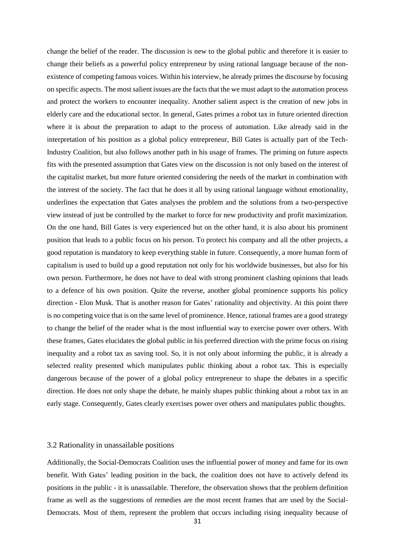change the belief of the reader. The discussion is new to the global public and therefore it is easier to change their beliefs as a powerful policy entrepreneur by using rational language because of the nonexistence of competing famous voices. Within his interview, he already primes the discourse by focusing on specific aspects. The most salient issues are the facts that the we must adapt to the automation process and protect the workers to encounter inequality. Another salient aspect is the creation of new jobs in elderly care and the educational sector. In general, Gates primes a robot tax in future oriented direction where it is about the preparation to adapt to the process of automation. Like already said in the interpretation of his position as a global policy entrepreneur, Bill Gates is actually part of the Tech-Industry Coalition, but also follows another path in his usage of frames. The priming on future aspects fits with the presented assumption that Gates view on the discussion is not only based on the interest of the capitalist market, but more future oriented considering the needs of the market in combination with the interest of the society. The fact that he does it all by using rational language without emotionality, underlines the expectation that Gates analyses the problem and the solutions from a two-perspective view instead of just be controlled by the market to force for new productivity and profit maximization. On the one hand, Bill Gates is very experienced but on the other hand, it is also about his prominent position that leads to a public focus on his person. To protect his company and all the other projects, a good reputation is mandatory to keep everything stable in future. Consequently, a more human form of capitalism is used to build up a good reputation not only for his worldwide businesses, but also for his own person. Furthermore, he does not have to deal with strong prominent clashing opinions that leads to a defence of his own position. Quite the reverse, another global prominence supports his policy direction - Elon Musk. That is another reason for Gates' rationality and objectivity. At this point there is no competing voice that is on the same level of prominence. Hence, rational frames are a good strategy to change the belief of the reader what is the most influential way to exercise power over others. With these frames, Gates elucidates the global public in his preferred direction with the prime focus on rising inequality and a robot tax as saving tool. So, it is not only about informing the public, it is already a selected reality presented which manipulates public thinking about a robot tax. This is especially dangerous because of the power of a global policy entrepreneur to shape the debates in a specific direction. He does not only shape the debate, he mainly shapes public thinking about a robot tax in an early stage. Consequently, Gates clearly exercises power over others and manipulates public thoughts.

#### <span id="page-33-0"></span>3.2 Rationality in unassailable positions

Additionally, the Social-Democrats Coalition uses the influential power of money and fame for its own benefit. With Gates' leading position in the back, the coalition does not have to actively defend its positions in the public - it is unassailable. Therefore, the observation shows that the problem definition frame as well as the suggestions of remedies are the most recent frames that are used by the Social-Democrats. Most of them, represent the problem that occurs including rising inequality because of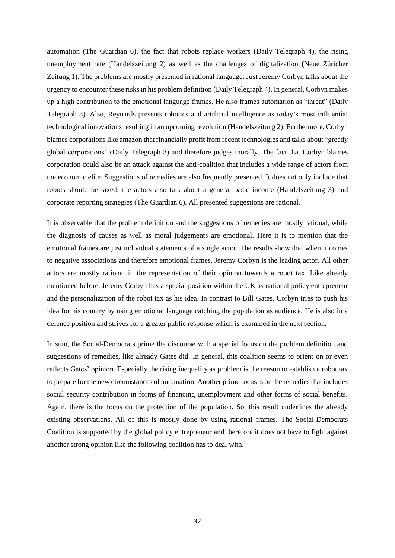automation (The Guardian 6), the fact that robots replace workers (Daily Telegraph 4), the rising unemployment rate (Handelszeitung 2) as well as the challenges of digitalization (Neue Züricher Zeitung 1). The problems are mostly presented in rational language. Just Jeremy Corbyn talks about the urgency to encounter these risks in his problem definition (Daily Telegraph 4). In general, Corbyn makes up a high contribution to the emotional language frames. He also frames automation as "threat" (Daily Telegraph 3). Also, Reynards presents robotics and artificial intelligence as today's most influential technological innovations resulting in an upcoming revolution (Handelszeitung 2). Furthermore, Corbyn blames corporations like amazon that financially profit from recent technologies and talks about "greedy global corporations" (Daily Telegraph 3) and therefore judges morally. The fact that Corbyn blames corporation could also be an attack against the anti-coalition that includes a wide range of actors from the economic elite. Suggestions of remedies are also frequently presented. It does not only include that robots should be taxed; the actors also talk about a general basic income (Handelszeitung 3) and corporate reporting strategies (The Guardian 6). All presented suggestions are rational.

It is observable that the problem definition and the suggestions of remedies are mostly rational, while the diagnosis of causes as well as moral judgements are emotional. Here it is to mention that the emotional frames are just individual statements of a single actor. The results show that when it comes to negative associations and therefore emotional frames, Jeremy Corbyn is the leading actor. All other actors are mostly rational in the representation of their opinion towards a robot tax. Like already mentioned before, Jeremy Corbyn has a special position within the UK as national policy entrepreneur and the personalization of the robot tax as his idea. In contrast to Bill Gates, Corbyn tries to push his idea for his country by using emotional language catching the population as audience. He is also in a defence position and strives for a greater public response which is examined in the next section.

In sum, the Social-Democrats prime the discourse with a special focus on the problem definition and suggestions of remedies, like already Gates did. In general, this coalition seems to orient on or even reflects Gates' opinion. Especially the rising inequality as problem is the reason to establish a robot tax to prepare for the new circumstances of automation. Another prime focus is on the remedies that includes social security contribution in forms of financing unemployment and other forms of social benefits. Again, there is the focus on the protection of the population. So, this result underlines the already existing observations. All of this is mostly done by using rational frames. The Social-Democrats Coalition is supported by the global policy entrepreneur and therefore it does not have to fight against another strong opinion like the following coalition has to deal with.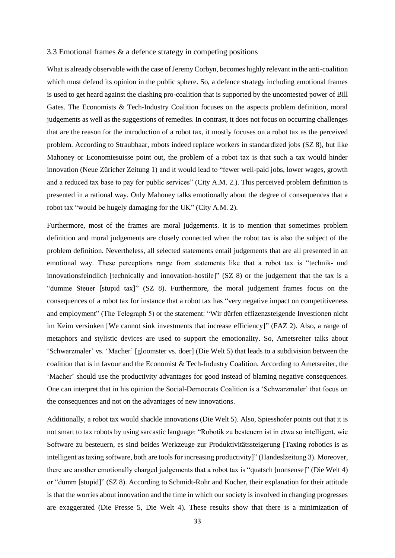#### <span id="page-35-0"></span>3.3 Emotional frames & a defence strategy in competing positions

What is already observable with the case of Jeremy Corbyn, becomes highly relevant in the anti-coalition which must defend its opinion in the public sphere. So, a defence strategy including emotional frames is used to get heard against the clashing pro-coalition that is supported by the uncontested power of Bill Gates. The Economists & Tech-Industry Coalition focuses on the aspects problem definition, moral judgements as well as the suggestions of remedies. In contrast, it does not focus on occurring challenges that are the reason for the introduction of a robot tax, it mostly focuses on a robot tax as the perceived problem. According to Straubhaar, robots indeed replace workers in standardized jobs (SZ 8), but like Mahoney or Economiesuisse point out, the problem of a robot tax is that such a tax would hinder innovation (Neue Züricher Zeitung 1) and it would lead to "fewer well-paid jobs, lower wages, growth and a reduced tax base to pay for public services" (City A.M. 2.). This perceived problem definition is presented in a rational way. Only Mahoney talks emotionally about the degree of consequences that a robot tax "would be hugely damaging for the UK" (City A.M. 2).

Furthermore, most of the frames are moral judgements. It is to mention that sometimes problem definition and moral judgements are closely connected when the robot tax is also the subject of the problem definition. Nevertheless, all selected statements entail judgements that are all presented in an emotional way. These perceptions range from statements like that a robot tax is "technik- und innovationsfeindlich [technically and innovation-hostile]" (SZ 8) or the judgement that the tax is a "dumme Steuer [stupid tax]" (SZ 8). Furthermore, the moral judgement frames focus on the consequences of a robot tax for instance that a robot tax has "very negative impact on competitiveness and employment" (The Telegraph 5) or the statement: "Wir dürfen effizenzsteigende Investionen nicht im Keim versinken [We cannot sink investments that increase efficiency]" (FAZ 2). Also, a range of metaphors and stylistic devices are used to support the emotionality. So, Ametsreiter talks about 'Schwarzmaler' vs. 'Macher' [gloomster vs. doer] (Die Welt 5) that leads to a subdivision between the coalition that is in favour and the Economist & Tech-Industry Coalition. According to Ametsreiter, the 'Macher' should use the productivity advantages for good instead of blaming negative consequences. One can interpret that in his opinion the Social-Democrats Coalition is a 'Schwarzmaler' that focus on the consequences and not on the advantages of new innovations.

Additionally, a robot tax would shackle innovations (Die Welt 5). Also, Spiesshofer points out that it is not smart to tax robots by using sarcastic language: "Robotik zu besteuern ist in etwa so intelligent, wie Software zu besteuern, es sind beides Werkzeuge zur Produktivitätssteigerung [Taxing robotics is as intelligent as taxing software, both are tools for increasing productivity]" (Handeslzeitung 3). Moreover, there are another emotionally charged judgements that a robot tax is "quatsch [nonsense]" (Die Welt 4) or "dumm [stupid]" (SZ 8). According to Schmidt-Rohr and Kocher, their explanation for their attitude is that the worries about innovation and the time in which our society is involved in changing progresses are exaggerated (Die Presse 5, Die Welt 4). These results show that there is a minimization of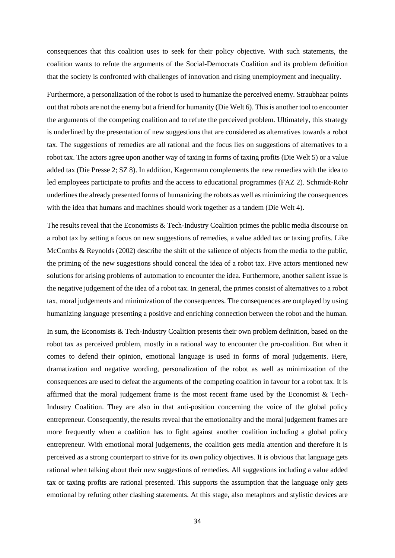consequences that this coalition uses to seek for their policy objective. With such statements, the coalition wants to refute the arguments of the Social-Democrats Coalition and its problem definition that the society is confronted with challenges of innovation and rising unemployment and inequality.

Furthermore, a personalization of the robot is used to humanize the perceived enemy. Straubhaar points out that robots are not the enemy but a friend for humanity (Die Welt 6). This is another tool to encounter the arguments of the competing coalition and to refute the perceived problem. Ultimately, this strategy is underlined by the presentation of new suggestions that are considered as alternatives towards a robot tax. The suggestions of remedies are all rational and the focus lies on suggestions of alternatives to a robot tax. The actors agree upon another way of taxing in forms of taxing profits (Die Welt 5) or a value added tax (Die Presse 2; SZ 8). In addition, Kagermann complements the new remedies with the idea to led employees participate to profits and the access to educational programmes (FAZ 2). Schmidt-Rohr underlines the already presented forms of humanizing the robots as well as minimizing the consequences with the idea that humans and machines should work together as a tandem (Die Welt 4).

The results reveal that the Economists & Tech-Industry Coalition primes the public media discourse on a robot tax by setting a focus on new suggestions of remedies, a value added tax or taxing profits. Like McCombs & Reynolds (2002) describe the shift of the salience of objects from the media to the public, the priming of the new suggestions should conceal the idea of a robot tax. Five actors mentioned new solutions for arising problems of automation to encounter the idea. Furthermore, another salient issue is the negative judgement of the idea of a robot tax. In general, the primes consist of alternatives to a robot tax, moral judgements and minimization of the consequences. The consequences are outplayed by using humanizing language presenting a positive and enriching connection between the robot and the human.

In sum, the Economists & Tech-Industry Coalition presents their own problem definition, based on the robot tax as perceived problem, mostly in a rational way to encounter the pro-coalition. But when it comes to defend their opinion, emotional language is used in forms of moral judgements. Here, dramatization and negative wording, personalization of the robot as well as minimization of the consequences are used to defeat the arguments of the competing coalition in favour for a robot tax. It is affirmed that the moral judgement frame is the most recent frame used by the Economist & Tech-Industry Coalition. They are also in that anti-position concerning the voice of the global policy entrepreneur. Consequently, the results reveal that the emotionality and the moral judgement frames are more frequently when a coalition has to fight against another coalition including a global policy entrepreneur. With emotional moral judgements, the coalition gets media attention and therefore it is perceived as a strong counterpart to strive for its own policy objectives. It is obvious that language gets rational when talking about their new suggestions of remedies. All suggestions including a value added tax or taxing profits are rational presented. This supports the assumption that the language only gets emotional by refuting other clashing statements. At this stage, also metaphors and stylistic devices are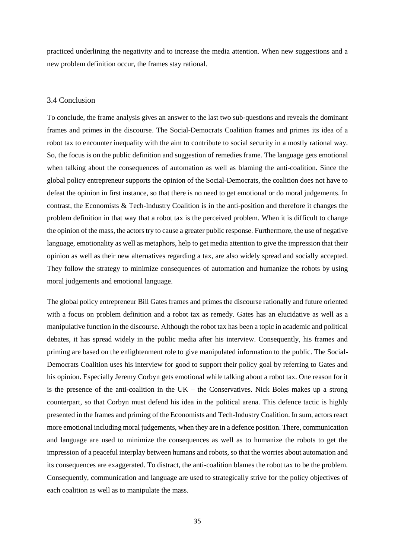practiced underlining the negativity and to increase the media attention. When new suggestions and a new problem definition occur, the frames stay rational.

#### <span id="page-37-0"></span>3.4 Conclusion

To conclude, the frame analysis gives an answer to the last two sub-questions and reveals the dominant frames and primes in the discourse. The Social-Democrats Coalition frames and primes its idea of a robot tax to encounter inequality with the aim to contribute to social security in a mostly rational way. So, the focus is on the public definition and suggestion of remedies frame. The language gets emotional when talking about the consequences of automation as well as blaming the anti-coalition. Since the global policy entrepreneur supports the opinion of the Social-Democrats, the coalition does not have to defeat the opinion in first instance, so that there is no need to get emotional or do moral judgements. In contrast, the Economists & Tech-Industry Coalition is in the anti-position and therefore it changes the problem definition in that way that a robot tax is the perceived problem. When it is difficult to change the opinion of the mass, the actors try to cause a greater public response. Furthermore, the use of negative language, emotionality as well as metaphors, help to get media attention to give the impression that their opinion as well as their new alternatives regarding a tax, are also widely spread and socially accepted. They follow the strategy to minimize consequences of automation and humanize the robots by using moral judgements and emotional language.

The global policy entrepreneur Bill Gates frames and primes the discourse rationally and future oriented with a focus on problem definition and a robot tax as remedy. Gates has an elucidative as well as a manipulative function in the discourse. Although the robot tax has been a topic in academic and political debates, it has spread widely in the public media after his interview. Consequently, his frames and priming are based on the enlightenment role to give manipulated information to the public. The Social-Democrats Coalition uses his interview for good to support their policy goal by referring to Gates and his opinion. Especially Jeremy Corbyn gets emotional while talking about a robot tax. One reason for it is the presence of the anti-coalition in the  $UK$  – the Conservatives. Nick Boles makes up a strong counterpart, so that Corbyn must defend his idea in the political arena. This defence tactic is highly presented in the frames and priming of the Economists and Tech-Industry Coalition. In sum, actors react more emotional including moral judgements, when they are in a defence position. There, communication and language are used to minimize the consequences as well as to humanize the robots to get the impression of a peaceful interplay between humans and robots, so that the worries about automation and its consequences are exaggerated. To distract, the anti-coalition blames the robot tax to be the problem. Consequently, communication and language are used to strategically strive for the policy objectives of each coalition as well as to manipulate the mass.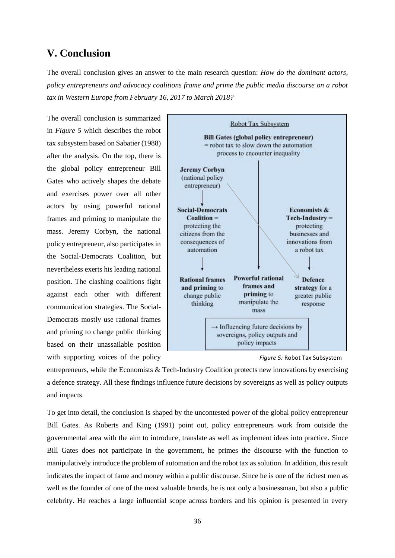# <span id="page-38-0"></span>**V. Conclusion**

The overall conclusion gives an answer to the main research question: *How do the dominant actors, policy entrepreneurs and advocacy coalitions frame and prime the public media discourse on a robot tax in Western Europe from February 16, 2017 to March 2018?*

The overall conclusion is summarized in *Figure 5* which describes the robot tax subsystem based on Sabatier (1988) after the analysis. On the top, there is the global policy entrepreneur Bill Gates who actively shapes the debate and exercises power over all other actors by using powerful rational frames and priming to manipulate the mass. Jeremy Corbyn, the national policy entrepreneur, also participates in the Social-Democrats Coalition, but nevertheless exerts his leading national position. The clashing coalitions fight against each other with different communication strategies. The Social-Democrats mostly use rational frames and priming to change public thinking based on their unassailable position with supporting voices of the policy



*Figure 5:* Robot Tax Subsystem

entrepreneurs, while the Economists & Tech-Industry Coalition protects new innovations by exercising a defence strategy. All these findings influence future decisions by sovereigns as well as policy outputs and impacts.

To get into detail, the conclusion is shaped by the uncontested power of the global policy entrepreneur Bill Gates*.* As Roberts and King (1991) point out, policy entrepreneurs work from outside the governmental area with the aim to introduce, translate as well as implement ideas into practice. Since Bill Gates does not participate in the government, he primes the discourse with the function to manipulatively introduce the problem of automation and the robot tax as solution. In addition, this result indicates the impact of fame and money within a public discourse. Since he is one of the richest men as well as the founder of one of the most valuable brands, he is not only a businessman, but also a public celebrity. He reaches a large influential scope across borders and his opinion is presented in every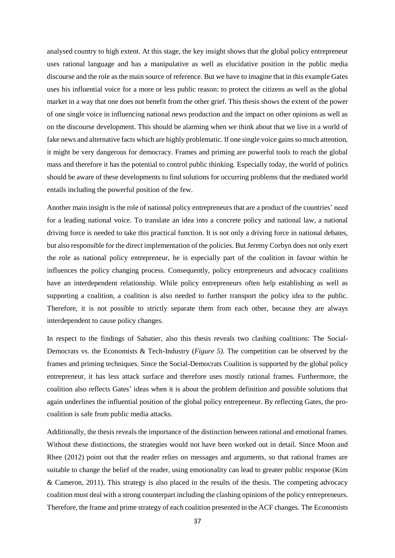analysed country to high extent. At this stage, the key insight shows that the global policy entrepreneur uses rational language and has a manipulative as well as elucidative position in the public media discourse and the role as the main source of reference. But we have to imagine that in this example Gates uses his influential voice for a more or less public reason: to protect the citizens as well as the global market in a way that one does not benefit from the other grief. This thesis shows the extent of the power of one single voice in influencing national news production and the impact on other opinions as well as on the discourse development. This should be alarming when we think about that we live in a world of fake news and alternative facts which are highly problematic. If one single voice gains so much attention, it might be very dangerous for democracy. Frames and priming are powerful tools to reach the global mass and therefore it has the potential to control public thinking. Especially today, the world of politics should be aware of these developments to find solutions for occurring problems that the mediated world entails including the powerful position of the few.

Another main insight is the role of national policy entrepreneurs that are a product of the countries' need for a leading national voice. To translate an idea into a concrete policy and national law, a national driving force is needed to take this practical function. It is not only a driving force in national debates, but also responsible for the direct implementation of the policies. But Jeremy Corbyn does not only exert the role as national policy entrepreneur, he is especially part of the coalition in favour within he influences the policy changing process. Consequently, policy entrepreneurs and advocacy coalitions have an interdependent relationship. While policy entrepreneurs often help establishing as well as supporting a coalition, a coalition is also needed to further transport the policy idea to the public. Therefore, it is not possible to strictly separate them from each other, because they are always interdependent to cause policy changes.

In respect to the findings of Sabatier, also this thesis reveals two clashing coalitions: The Social-Democrats vs. the Economists & Tech-Industry (*Figure 5).* The competition can be observed by the frames and priming techniques. Since the Social-Democrats Coalition is supported by the global policy entrepreneur, it has less attack surface and therefore uses mostly rational frames. Furthermore, the coalition also reflects Gates' ideas when it is about the problem definition and possible solutions that again underlines the influential position of the global policy entrepreneur. By reflecting Gates, the procoalition is safe from public media attacks.

Additionally, the thesis reveals the importance of the distinction between rational and emotional frames. Without these distinctions, the strategies would not have been worked out in detail. Since Moon and Rhee (2012) point out that the reader relies on messages and arguments, so that rational frames are suitable to change the belief of the reader, using emotionality can lead to greater public response (Kim & Cameron, 2011). This strategy is also placed in the results of the thesis. The competing advocacy coalition must deal with a strong counterpart including the clashing opinions of the policy entrepreneurs. Therefore, the frame and prime strategy of each coalition presented in the ACF changes. The Economists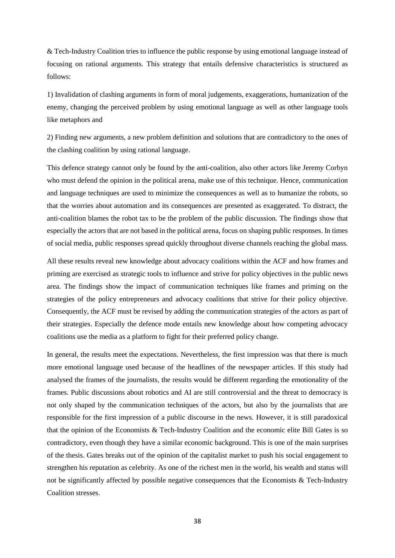& Tech-Industry Coalition tries to influence the public response by using emotional language instead of focusing on rational arguments. This strategy that entails defensive characteristics is structured as follows:

1) Invalidation of clashing arguments in form of moral judgements, exaggerations, humanization of the enemy, changing the perceived problem by using emotional language as well as other language tools like metaphors and

2) Finding new arguments, a new problem definition and solutions that are contradictory to the ones of the clashing coalition by using rational language.

This defence strategy cannot only be found by the anti-coalition, also other actors like Jeremy Corbyn who must defend the opinion in the political arena, make use of this technique. Hence, communication and language techniques are used to minimize the consequences as well as to humanize the robots, so that the worries about automation and its consequences are presented as exaggerated. To distract, the anti-coalition blames the robot tax to be the problem of the public discussion. The findings show that especially the actors that are not based in the political arena, focus on shaping public responses. In times of social media, public responses spread quickly throughout diverse channels reaching the global mass.

All these results reveal new knowledge about advocacy coalitions within the ACF and how frames and priming are exercised as strategic tools to influence and strive for policy objectives in the public news area. The findings show the impact of communication techniques like frames and priming on the strategies of the policy entrepreneurs and advocacy coalitions that strive for their policy objective. Consequently, the ACF must be revised by adding the communication strategies of the actors as part of their strategies. Especially the defence mode entails new knowledge about how competing advocacy coalitions use the media as a platform to fight for their preferred policy change.

In general, the results meet the expectations. Nevertheless, the first impression was that there is much more emotional language used because of the headlines of the newspaper articles. If this study had analysed the frames of the journalists, the results would be different regarding the emotionality of the frames. Public discussions about robotics and AI are still controversial and the threat to democracy is not only shaped by the communication techniques of the actors, but also by the journalists that are responsible for the first impression of a public discourse in the news. However, it is still paradoxical that the opinion of the Economists & Tech-Industry Coalition and the economic elite Bill Gates is so contradictory, even though they have a similar economic background. This is one of the main surprises of the thesis. Gates breaks out of the opinion of the capitalist market to push his social engagement to strengthen his reputation as celebrity. As one of the richest men in the world, his wealth and status will not be significantly affected by possible negative consequences that the Economists & Tech-Industry Coalition stresses.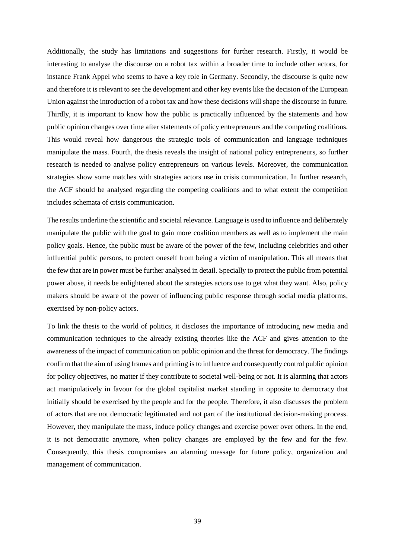Additionally, the study has limitations and suggestions for further research. Firstly, it would be interesting to analyse the discourse on a robot tax within a broader time to include other actors, for instance Frank Appel who seems to have a key role in Germany. Secondly, the discourse is quite new and therefore it is relevant to see the development and other key events like the decision of the European Union against the introduction of a robot tax and how these decisions will shape the discourse in future. Thirdly, it is important to know how the public is practically influenced by the statements and how public opinion changes over time after statements of policy entrepreneurs and the competing coalitions. This would reveal how dangerous the strategic tools of communication and language techniques manipulate the mass. Fourth, the thesis reveals the insight of national policy entrepreneurs, so further research is needed to analyse policy entrepreneurs on various levels. Moreover, the communication strategies show some matches with strategies actors use in crisis communication. In further research, the ACF should be analysed regarding the competing coalitions and to what extent the competition includes schemata of crisis communication.

The results underline the scientific and societal relevance. Language is used to influence and deliberately manipulate the public with the goal to gain more coalition members as well as to implement the main policy goals. Hence, the public must be aware of the power of the few, including celebrities and other influential public persons, to protect oneself from being a victim of manipulation. This all means that the few that are in power must be further analysed in detail. Specially to protect the public from potential power abuse, it needs be enlightened about the strategies actors use to get what they want. Also, policy makers should be aware of the power of influencing public response through social media platforms, exercised by non-policy actors.

To link the thesis to the world of politics, it discloses the importance of introducing new media and communication techniques to the already existing theories like the ACF and gives attention to the awareness of the impact of communication on public opinion and the threat for democracy. The findings confirm that the aim of using frames and priming is to influence and consequently control public opinion for policy objectives, no matter if they contribute to societal well-being or not. It is alarming that actors act manipulatively in favour for the global capitalist market standing in opposite to democracy that initially should be exercised by the people and for the people. Therefore, it also discusses the problem of actors that are not democratic legitimated and not part of the institutional decision-making process. However, they manipulate the mass, induce policy changes and exercise power over others. In the end, it is not democratic anymore, when policy changes are employed by the few and for the few. Consequently, this thesis compromises an alarming message for future policy, organization and management of communication.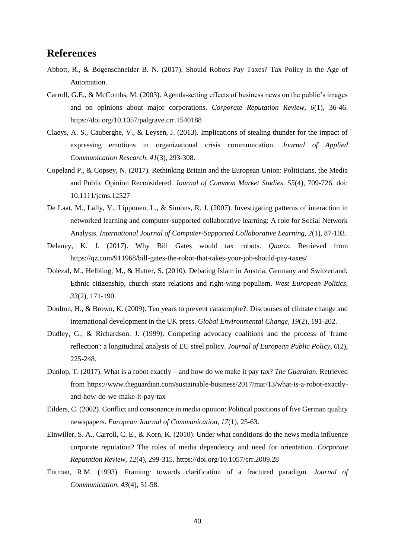## <span id="page-42-0"></span>**References**

- Abbott, R., & Bogenschneider B. N. (2017). Should Robots Pay Taxes? Tax Policy in the Age of Automation.
- Carroll, G.E., & McCombs, M. (2003). Agenda-setting effects of business news on the public's images and on opinions about major corporations. *Corporate Reputation Review, 6*(1), 36-46. <https://doi.org/10.1057/palgrave.crr.1540188>
- Claeys, A. S., Cauberghe, V., & Leysen, J. (2013). Implications of stealing thunder for the impact of expressing emotions in organizational crisis communication. *Journal of Applied Communication Research, 41*(3), 293-308.
- Copeland P., & Copsey, N. (2017). Rethinking Britain and the European Union: Politicians, the Media and Public Opinion Reconsidered. *Journal of Common Market Studies, 55*(4), 709-726. doi: 10.1111/jcms.12527
- De Laat, M., Lally, V., Lipponen, L., & Simons, R. J. (2007). Investigating patterns of interaction in networked learning and computer-supported collaborative learning: A role for Social Network Analysis. *International Journal of Computer-Supported Collaborative Learning, 2*(1), 87-103.
- Delaney, K. J. (2017). Why Bill Gates would tax robots. *Quartz*. Retrieved from <https://qz.com/911968/bill-gates-the-robot-that-takes-your-job-should-pay-taxes/>
- Dolezal, M., Helbling, M., & Hutter, S. (2010). Debating Islam in Austria, Germany and Switzerland: Ethnic citizenship, church–state relations and right-wing populism. *West European Politics, 33*(2), 171-190.
- Doulton, H., & Brown, K. (2009). Ten years to prevent catastrophe?: Discourses of climate change and international development in the UK press. *Global Environmental Change, 19*(2), 191-202.
- Dudley, G., & Richardson, J. (1999). Competing advocacy coalitions and the process of 'frame reflection': a longitudinal analysis of EU steel policy. *Journal of European Public Policy*, *6*(2), 225-248.
- Dunlop, T. (2017). What is a robot exactly and how do we make it pay tax? *The Guardian*. Retrieved from [https://www.theguardian.com/sustainable-business/2017/mar/13/what-is-a-robot-exactly](https://www.theguardian.com/sustainable-business/2017/mar/13/what-is-a-robot-exactly-and-how-do-we-make-it-pay-tax)[and-how-do-we-make-it-pay-tax](https://www.theguardian.com/sustainable-business/2017/mar/13/what-is-a-robot-exactly-and-how-do-we-make-it-pay-tax)
- Eilders, C. (2002). Conflict and consonance in media opinion: Political positions of five German quality newspapers. *European Journal of Communication, 17*(1), 25-63.
- Einwiller, S. A., Carroll, C. E., & Korn, K. (2010). Under what conditions do the news media influence corporate reputation? The roles of media dependency and need for orientation. *Corporate Reputation Review*, *12*(4), 299-315.<https://doi.org/10.1057/crr.2009.28>
- Entman, R.M. (1993). Framing: towards clarification of a fractured paradigm. *Journal of Communication*, *43*(4), 51-58.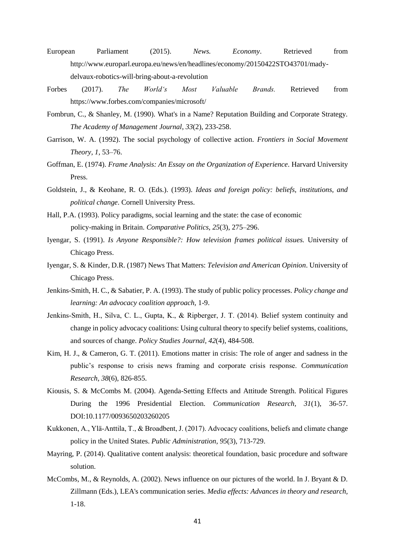- European Parliament (2015). *News. Economy*. Retrieved from [http://www.europarl.europa.eu/news/en/headlines/economy/20150422STO43701/mady](http://www.europarl.europa.eu/news/en/headlines/economy/20150422STO43701/mady-delvaux-robotics-will-bring-about-a-revolution)[delvaux-robotics-will-bring-about-a-revolution](http://www.europarl.europa.eu/news/en/headlines/economy/20150422STO43701/mady-delvaux-robotics-will-bring-about-a-revolution)
- Forbes (2017). *The World's Most Valuable Brands.* Retrieved from https://www.forbes.com/companies/microsoft/
- Fombrun, C., & Shanley, M. (1990). What's in a Name? Reputation Building and Corporate Strategy. *The Academy of Management Journal*, *33*(2), 233-258.
- Garrison, W. A. (1992). The social psychology of collective action. *Frontiers in Social Movement Theory, 1,* 53–76.
- Goffman, E. (1974). *Frame Analysis: An Essay on the Organization of Experience*. Harvard University Press.
- Goldstein, J., & Keohane, R. O. (Eds.). (1993). *Ideas and foreign policy: beliefs, institutions, and political change*. Cornell University Press.
- Hall, P.A. (1993). Policy paradigms, social learning and the state: the case of economic policy-making in Britain. *Comparative Politics, 25*(3), 275–296.
- Iyengar, S. (1991). *Is Anyone Responsible?: How television frames political issues.* University of Chicago Press.
- Iyengar, S. & Kinder, D.R. (1987) News That Matters: *Television and American Opinion*. University of Chicago Press.
- Jenkins-Smith, H. C., & Sabatier, P. A. (1993). The study of public policy processes. *Policy change and learning: An advocacy coalition approach,* 1-9.
- Jenkins‐Smith, H., Silva, C. L., Gupta, K., & Ripberger, J. T. (2014). Belief system continuity and change in policy advocacy coalitions: Using cultural theory to specify belief systems, coalitions, and sources of change. *Policy Studies Journal, 42*(4), 484-508.
- Kim, H. J., & Cameron, G. T. (2011). Emotions matter in crisis: The role of anger and sadness in the public's response to crisis news framing and corporate crisis response. *Communication Research, 38*(6), 826-855.
- Kiousis, S. & McCombs M. (2004). Agenda-Setting Effects and Attitude Strength. Political Figures During the 1996 Presidential Election. *Communication Research, 31*(1), 36-57. DOI:10.1177/0093650203260205
- Kukkonen, A., Ylä‐Anttila, T., & Broadbent, J. (2017). Advocacy coalitions, beliefs and climate change policy in the United States. *Public Administration*, *95*(3), 713-729.
- Mayring, P. (2014). Qualitative content analysis: theoretical foundation, basic procedure and software solution.
- McCombs, M., & Reynolds, A. (2002). News influence on our pictures of the world. In J. Bryant & D. Zillmann (Eds.), LEA's communication series. *Media effects: Advances in theory and research,* 1-18.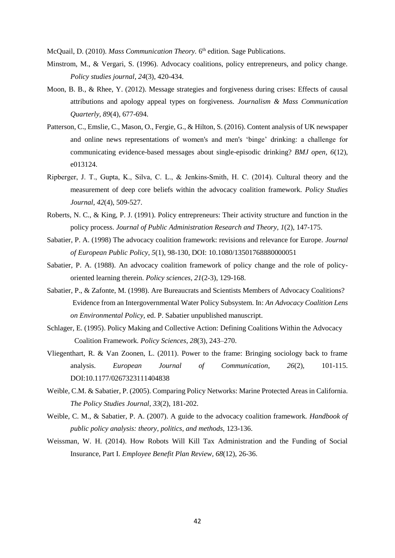McQuail, D. (2010). Mass Communication Theory. 6th edition. Sage Publications.

- Minstrom, M., & Vergari, S. (1996). Advocacy coalitions, policy entrepreneurs, and policy change. *Policy studies journal*, *24*(3), 420-434.
- Moon, B. B., & Rhee, Y. (2012). Message strategies and forgiveness during crises: Effects of causal attributions and apology appeal types on forgiveness. *Journalism & Mass Communication Quarterly, 89*(4), 677-694.
- Patterson, C., Emslie, C., Mason, O., Fergie, G., & Hilton, S. (2016). Content analysis of UK newspaper and online news representations of women's and men's 'binge' drinking: a challenge for communicating evidence-based messages about single-episodic drinking? *BMJ open, 6*(12), e013124.
- Ripberger, J. T., Gupta, K., Silva, C. L., & Jenkins‐Smith, H. C. (2014). Cultural theory and the measurement of deep core beliefs within the advocacy coalition framework. *Policy Studies Journal*, *42*(4), 509-527.
- Roberts, N. C., & King, P. J. (1991). Policy entrepreneurs: Their activity structure and function in the policy process. *Journal of Public Administration Research and Theory, 1*(2), 147-175.
- Sabatier, P. A. (1998) The advocacy coalition framework: revisions and relevance for Europe. *Journal of European Public Policy, 5*(1), 98-130, DOI: 10.1080/13501768880000051
- Sabatier, P. A. (1988). An advocacy coalition framework of policy change and the role of policyoriented learning therein. *Policy sciences, 21*(2-3), 129-168.
- Sabatier, P., & Zafonte, M. (1998). Are Bureaucrats and Scientists Members of Advocacy Coalitions? Evidence from an Intergovernmental Water Policy Subsystem. In: *An Advocacy Coalition Lens on Environmental Policy,* ed. P. Sabatier unpublished manuscript.
- Schlager, E. (1995). Policy Making and Collective Action: Defining Coalitions Within the Advocacy Coalition Framework. *Policy Sciences*, *28*(3), 243–270.
- Vliegenthart, R. & Van Zoonen, L. (2011). Power to the frame: Bringing sociology back to frame analysis. *European Journal of Communication*, *26*(2), 101-115. DOI:10.1177/0267323111404838
- Weible, C.M. & Sabatier, P. (2005). Comparing Policy Networks: Marine Protected Areas in California. *The Policy Studies Journal*, *33*(2), 181-202.
- Weible, C. M., & Sabatier, P. A. (2007). A guide to the advocacy coalition framework*. Handbook of public policy analysis: theory, politics, and methods,* 123-136.
- Weissman, W. H. (2014). How Robots Will Kill Tax Administration and the Funding of Social Insurance, Part I. *Employee Benefit Plan Review, 68*(12), 26-36.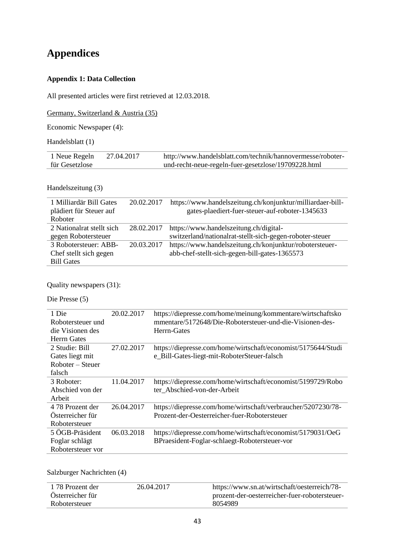# <span id="page-45-0"></span>**Appendices**

# **Appendix 1: Data Collection**

All presented articles were first retrieved at 12.03.2018.

Germany, Switzerland & Austria (35)

Economic Newspaper (4):

Handelsblatt (1)

| 1 Neue Regeln  | 27.04.2017 | http://www.handelsblatt.com/technik/hannovermesse/roboter- |
|----------------|------------|------------------------------------------------------------|
| für Gesetzlose |            | und-recht-neue-regeln-fuer-gesetzlose/19709228.html        |

Handelszeitung (3)

| 1 Milliardär Bill Gates   | 20.02.2017 | https://www.handelszeitung.ch/konjunktur/milliardaer-bill- |
|---------------------------|------------|------------------------------------------------------------|
| plädiert für Steuer auf   |            | gates-plaediert-fuer-steuer-auf-roboter-1345633            |
| Roboter                   |            |                                                            |
| 2 Nationalrat stellt sich | 28.02.2017 | https://www.handelszeitung.ch/digital-                     |
| gegen Robotersteuer       |            | switzerland/nationalrat-stellt-sich-gegen-roboter-steuer   |
| 3 Robotersteuer: ABB-     | 20.03.2017 | https://www.handelszeitung.ch/konjunktur/robotersteuer-    |
| Chef stellt sich gegen    |            | abb-chef-stellt-sich-gegen-bill-gates-1365573              |
| <b>Bill Gates</b>         |            |                                                            |

Quality newspapers (31):

Die Presse (5)

| 1 Die<br>Robotersteuer und<br>die Visionen des<br><b>Herrn Gates</b> | 20.02.2017 | https://diepresse.com/home/meinung/kommentare/wirtschaftsko<br>mmentare/5172648/Die-Robotersteuer-und-die-Visionen-des-<br>Herrn-Gates |
|----------------------------------------------------------------------|------------|----------------------------------------------------------------------------------------------------------------------------------------|
| 2 Studie: Bill<br>Gates liegt mit<br>Roboter – Steuer<br>falsch      | 27.02.2017 | https://diepresse.com/home/wirtschaft/economist/5175644/Studi<br>e_Bill-Gates-liegt-mit-RoboterSteuer-falsch                           |
| 3 Roboter:<br>Abschied von der<br>Arbeit                             | 11.04.2017 | https://diepresse.com/home/wirtschaft/economist/5199729/Robo<br>ter Abschied-von-der-Arbeit                                            |
| 4.78 Prozent der<br>Österreicher für<br>Robotersteuer                | 26.04.2017 | https://diepresse.com/home/wirtschaft/verbraucher/5207230/78-<br>Prozent-der-Oesterreicher-fuer-Robotersteuer                          |
| 5 ÖGB-Präsident<br>Foglar schlägt<br>Robotersteuer vor               | 06.03.2018 | https://diepresse.com/home/wirtschaft/economist/5179031/OeG<br>BPraesident-Foglar-schlaegt-Robotersteuer-vor                           |

Salzburger Nachrichten (4)

| 1.78 Prozent der | 26.04.2017 | https://www.sn.at/wirtschaft/oesterreich/78-  |
|------------------|------------|-----------------------------------------------|
| Österreicher für |            | prozent-der-oesterreicher-fuer-robotersteuer- |
| Robotersteuer    |            | 8054989                                       |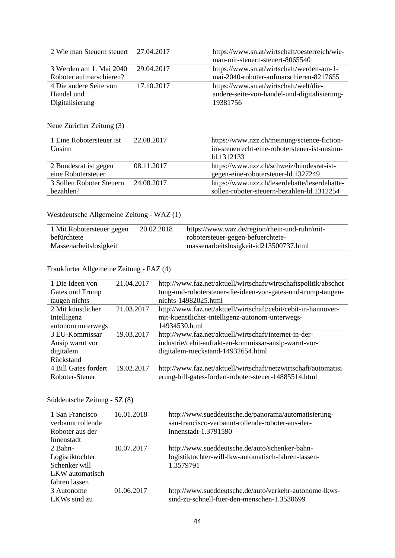| 2 Wie man Steuern steuert 27.04.2017 |            | https://www.sn.at/wirtschaft/oesterreich/wie- |
|--------------------------------------|------------|-----------------------------------------------|
|                                      |            | man-mit-steuern-steuert-8065540               |
| 3 Werden am 1. Mai 2040              | 29.04.2017 | https://www.sn.at/wirtschaft/werden-am-1-     |
| Roboter aufmarschieren?              |            | mai-2040-roboter-aufmarschieren-8217655       |
| 4 Die andere Seite von               | 17.10.2017 | https://www.sn.at/wirtschaft/welt/die-        |
| Handel und                           |            | andere-seite-von-handel-und-digitalisierung-  |
| Digitalisierung                      |            | 19381756                                      |

### Neue Züricher Zeitung (3)

| 1 Eine Robotersteuer ist<br><b>Unsinn</b> | 22.08.2017 | https://www.nzz.ch/meinung/science-fiction-<br>im-steuerrecht-eine-robotersteuer-ist-unsinn-<br>ld.1312133 |
|-------------------------------------------|------------|------------------------------------------------------------------------------------------------------------|
| 2 Bundesrat ist gegen                     | 08.11.2017 | https://www.nzz.ch/schweiz/bundesrat-ist-                                                                  |
| eine Robotersteuer                        |            | gegen-eine-robotersteuer-ld.1327249                                                                        |
| 3 Sollen Roboter Steuern                  | 24.08.2017 | https://www.nzz.ch/leserdebatte/leserdebatte-                                                              |
| hezahlen?                                 |            | sollen-roboter-steuern-bezahlen-ld.1312254                                                                 |

# Westdeutsche Allgemeine Zeitung - WAZ (1)

# Frankfurter Allgemeine Zeitung - FAZ (4)

| 21.04.2017 | http://www.faz.net/aktuell/wirtschaft/wirtschaftspolitik/abschot |
|------------|------------------------------------------------------------------|
|            | tung-und-robotersteuer-die-ideen-von-gates-und-trump-taugen-     |
|            | nichts-14982025.html                                             |
| 21.03.2017 | http://www.faz.net/aktuell/wirtschaft/cebit/cebit-in-hannover-   |
|            | mit-kuenstlicher-intelligenz-autonom-unterwegs-                  |
|            | 14934530.html                                                    |
| 19.03.2017 | http://www.faz.net/aktuell/wirtschaft/internet-in-der-           |
|            | industrie/cebit-auftakt-eu-kommissar-ansip-warnt-vor-            |
|            | digitalem-rueckstand-14932654.html                               |
|            |                                                                  |
| 19.02.2017 | http://www.faz.net/aktuell/wirtschaft/netzwirtschaft/automatisi  |
|            | erung-bill-gates-fordert-roboter-steuer-14885514.html            |
|            |                                                                  |

### Süddeutsche Zeitung - SZ (8)

| 1 San Francisco   | 16.01.2018 | http://www.sueddeutsche.de/panorama/automatisierung-   |
|-------------------|------------|--------------------------------------------------------|
| verbannt rollende |            | san-francisco-verbannt-rollende-roboter-aus-der-       |
| Roboter aus der   |            | innenstadt-1.3791590                                   |
| Innenstadt        |            |                                                        |
| 2 Bahn-           | 10.07.2017 | http://www.sueddeutsche.de/auto/schenker-bahn-         |
| Logistiktochter   |            | logistiktochter-will-lkw-automatisch-fahren-lassen-    |
| Schenker will     |            | 1.3579791                                              |
| LKW automatisch   |            |                                                        |
| fahren lassen     |            |                                                        |
| 3 Autonome        | 01.06.2017 | http://www.sueddeutsche.de/auto/verkehr-autonome-lkws- |
| LKWs sind zu      |            | sind-zu-schnell-fuer-den-menschen-1.3530699            |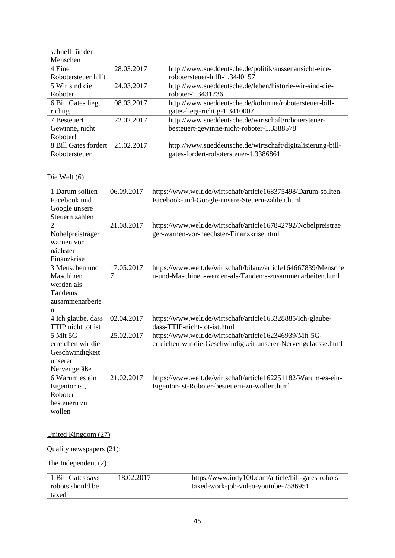| schnell für den                 |            |                                                             |
|---------------------------------|------------|-------------------------------------------------------------|
| Menschen                        |            |                                                             |
| 4 Eine                          | 28.03.2017 | http://www.sueddeutsche.de/politik/aussenansicht-eine-      |
| Robotersteuer hilft             |            | robotersteuer-hilft-1.3440157                               |
| 5 Wir sind die                  | 24.03.2017 | http://www.sueddeutsche.de/leben/historie-wir-sind-die-     |
| Roboter                         |            | roboter-1.3431236                                           |
| 6 Bill Gates liegt              | 08.03.2017 | http://www.sueddeutsche.de/kolumne/robotersteuer-bill-      |
| richtig                         |            | gates-liegt-richtig-1.3410007                               |
| 7 Besteuert                     | 22.02.2017 | http://www.sueddeutsche.de/wirtschaft/robotersteuer-        |
| Gewinne, nicht                  |            | besteuert-gewinne-nicht-roboter-1.3388578                   |
| Roboter!                        |            |                                                             |
| 8 Bill Gates fordert 21.02.2017 |            | http://www.sueddeutsche.de/wirtschaft/digitalisierung-bill- |
| Robotersteuer                   |            | gates-fordert-robotersteuer-1.3386861                       |

### Die Welt (6)

| 1 Darum sollten<br>Facebook und<br>Google unsere<br>Steuern zahlen           | 06.09.2017      | https://www.welt.de/wirtschaft/article168375498/Darum-sollten-<br>Facebook-und-Google-unsere-Steuern-zahlen.html           |
|------------------------------------------------------------------------------|-----------------|----------------------------------------------------------------------------------------------------------------------------|
| $\overline{2}$<br>Nobelpreisträger<br>warnen vor<br>nächster<br>Finanzkrise  | 21.08.2017      | https://www.welt.de/wirtschaft/article167842792/Nobelpreistrae<br>ger-warnen-vor-naechster-Finanzkrise.html                |
| 3 Menschen und<br>Maschinen<br>werden als<br>Tandems<br>zusammenarbeite<br>n | 17.05.2017<br>7 | https://www.welt.de/wirtschaft/bilanz/article164667839/Mensche<br>n-und-Maschinen-werden-als-Tandems-zusammenarbeiten.html |
| 4 Ich glaube, dass<br>TTIP nicht tot ist                                     | 02.04.2017      | https://www.welt.de/wirtschaft/article163328885/Ich-glaube-<br>dass-TTIP-nicht-tot-ist.html                                |
| 5 Mit 5G<br>erreichen wir die<br>Geschwindigkeit<br>unserer<br>Nervengefäße  | 25.02.2017      | https://www.welt.de/wirtschaft/article162346939/Mit-5G-<br>erreichen-wir-die-Geschwindigkeit-unserer-Nervengefaesse.html   |
| 6 Warum es ein<br>Eigentor ist,<br>Roboter<br>besteuern zu<br>wollen         | 21.02.2017      | https://www.welt.de/wirtschaft/article162251182/Warum-es-ein-<br>Eigentor-ist-Roboter-besteuern-zu-wollen.html             |
| United Kingdom (27)                                                          |                 |                                                                                                                            |
| Quality newspapers (21):                                                     |                 |                                                                                                                            |
| The Independent (2)                                                          |                 |                                                                                                                            |

| 1 Bill Gates says | 18.02.2017 | https://www.indy100.com/article/bill-gates-robots- |
|-------------------|------------|----------------------------------------------------|
| robots should be  |            | taxed-work-job-video-youtube-7586951               |
| taxed             |            |                                                    |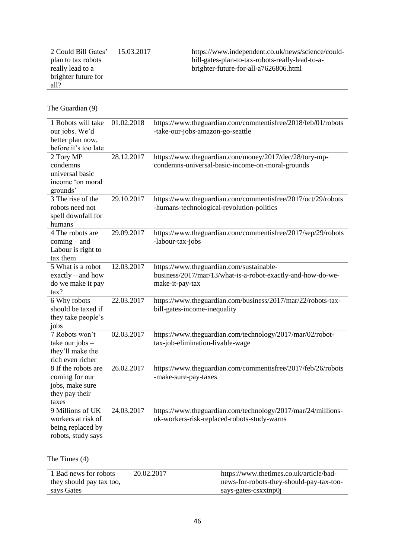| 2 Could Bill Gates' | 15.03.2017 |
|---------------------|------------|
| plan to tax robots  |            |
| really lead to a    |            |
| brighter future for |            |
| a112                |            |

The Guardian (9)

| 1 Robots will take<br>our jobs. We'd<br>better plan now,<br>before it's too late    | 01.02.2018 | https://www.theguardian.com/commentisfree/2018/feb/01/robots<br>-take-our-jobs-amazon-go-seattle                           |
|-------------------------------------------------------------------------------------|------------|----------------------------------------------------------------------------------------------------------------------------|
| 2 Tory MP<br>condemns<br>universal basic<br>income 'on moral<br>grounds'            | 28.12.2017 | https://www.theguardian.com/money/2017/dec/28/tory-mp-<br>condemns-universal-basic-income-on-moral-grounds                 |
| 3 The rise of the<br>robots need not<br>spell downfall for<br>humans                | 29.10.2017 | https://www.theguardian.com/commentisfree/2017/oct/29/robots<br>-humans-technological-revolution-politics                  |
| 4 The robots are<br>$coming - and$<br>Labour is right to<br>tax them                | 29.09.2017 | https://www.theguardian.com/commentisfree/2017/sep/29/robots<br>-labour-tax-jobs                                           |
| 5 What is a robot<br>$\text{exactly}$ – and how<br>do we make it pay<br>tax?        | 12.03.2017 | https://www.theguardian.com/sustainable-<br>business/2017/mar/13/what-is-a-robot-exactly-and-how-do-we-<br>make-it-pay-tax |
| 6 Why robots<br>should be taxed if<br>they take people's<br>jobs                    | 22.03.2017 | https://www.theguardian.com/business/2017/mar/22/robots-tax-<br>bill-gates-income-inequality                               |
| 7 Robots won't<br>take our jobs $-$<br>they'll make the<br>rich even richer         | 02.03.2017 | https://www.theguardian.com/technology/2017/mar/02/robot-<br>tax-job-elimination-livable-wage                              |
| 8 If the robots are<br>coming for our<br>jobs, make sure<br>they pay their<br>taxes | 26.02.2017 | https://www.theguardian.com/commentisfree/2017/feb/26/robots<br>-make-sure-pay-taxes                                       |
| 9 Millions of UK<br>workers at risk of<br>being replaced by<br>robots, study says   | 24.03.2017 | https://www.theguardian.com/technology/2017/mar/24/millions-<br>uk-workers-risk-replaced-robots-study-warns                |

The Times (4)

| 1 Bad news for robots $-$ | 20.02.2017 | https://www.thetimes.co.uk/article/bad-  |
|---------------------------|------------|------------------------------------------|
| they should pay tax too,  |            | news-for-robots-they-should-pay-tax-too- |
| says Gates                |            | says-gates-csxxtnp0                      |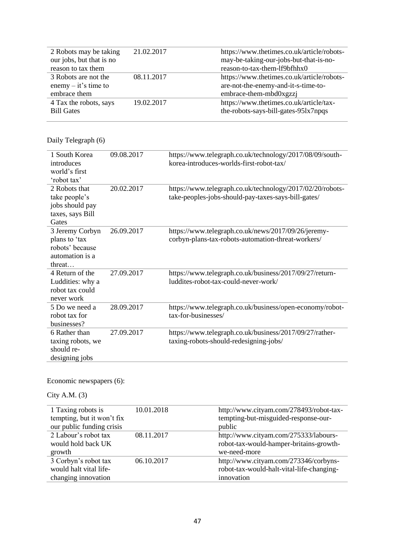| 2 Robots may be taking   | 21.02.2017 | https://www.thetimes.co.uk/article/robots- |
|--------------------------|------------|--------------------------------------------|
| our jobs, but that is no |            | may-be-taking-our-jobs-but-that-is-no-     |
| reason to tax them       |            | reason-to-tax-them-lf9bfhhx0               |
| 3 Robots are not the     | 08.11.2017 | https://www.thetimes.co.uk/article/robots- |
| enemy $-$ it's time to   |            | are-not-the-enemy-and-it-s-time-to-        |
| embrace them             |            | embrace-them-mbd0xgzzj                     |
| 4 Tax the robots, says   | 19.02.2017 | https://www.thetimes.co.uk/article/tax-    |
| <b>Bill Gates</b>        |            | the-robots-says-bill-gates-951x7npqs       |
|                          |            |                                            |

# Daily Telegraph (6)

| 1 South Korea<br>introduces<br>world's first<br>'robot tax'                      | 09.08.2017 | https://www.telegraph.co.uk/technology/2017/08/09/south-<br>korea-introduces-worlds-first-robot-tax/             |
|----------------------------------------------------------------------------------|------------|------------------------------------------------------------------------------------------------------------------|
| 2 Robots that<br>take people's<br>jobs should pay<br>taxes, says Bill<br>Gates   | 20.02.2017 | https://www.telegraph.co.uk/technology/2017/02/20/robots-<br>take-peoples-jobs-should-pay-taxes-says-bill-gates/ |
| 3 Jeremy Corbyn<br>plans to 'tax<br>robots' because<br>automation is a<br>threat | 26.09.2017 | https://www.telegraph.co.uk/news/2017/09/26/jeremy-<br>corbyn-plans-tax-robots-automation-threat-workers/        |
| 4 Return of the<br>Luddities: why a<br>robot tax could<br>never work             | 27.09.2017 | https://www.telegraph.co.uk/business/2017/09/27/return-<br>luddites-robot-tax-could-never-work/                  |
| 5 Do we need a<br>robot tax for<br>businesses?                                   | 28.09.2017 | https://www.telegraph.co.uk/business/open-economy/robot-<br>tax-for-businesses/                                  |
| 6 Rather than<br>taxing robots, we<br>should re-<br>designing jobs               | 27.09.2017 | https://www.telegraph.co.uk/business/2017/09/27/rather-<br>taxing-robots-should-redesigning-jobs/                |

# Economic newspapers (6):

# City A.M. (3)

| 1 Taxing robots is         | 10.01.2018 | http://www.cityam.com/278493/robot-tax-   |
|----------------------------|------------|-------------------------------------------|
| tempting, but it won't fix |            | tempting-but-misguided-response-our-      |
| our public funding crisis  |            | public                                    |
| 2 Labour's robot tax       | 08.11.2017 | http://www.cityam.com/275333/labours-     |
| would hold back UK         |            | robot-tax-would-hamper-britains-growth-   |
| growth                     |            | we-need-more                              |
| 3 Corbyn's robot tax       | 06.10.2017 | http://www.cityam.com/273346/corbyns-     |
| would halt vital life-     |            | robot-tax-would-halt-vital-life-changing- |
| changing innovation        |            | innovation                                |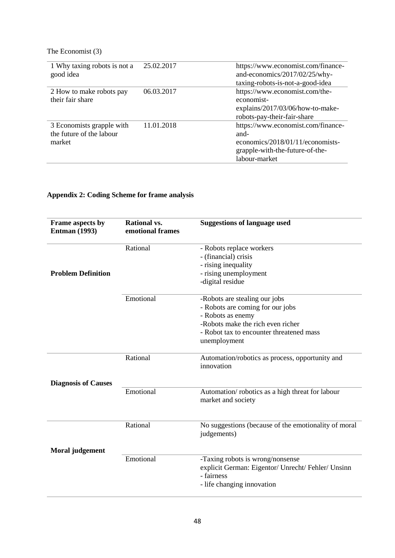### The Economist (3)

| 1 Why taxing robots is not a<br>good idea                       | 25.02.2017 | https://www.economist.com/finance-<br>and-economics/2017/02/25/why-<br>taxing-robots-is-not-a-good-idea                            |
|-----------------------------------------------------------------|------------|------------------------------------------------------------------------------------------------------------------------------------|
| 2 How to make robots pay<br>their fair share                    | 06.03.2017 | https://www.economist.com/the-<br>economist-<br>explains/2017/03/06/how-to-make-<br>robots-pay-their-fair-share                    |
| 3 Economists grapple with<br>the future of the labour<br>market | 11.01.2018 | https://www.economist.com/finance-<br>and-<br>economics/2018/01/11/economists-<br>grapple-with-the-future-of-the-<br>labour-market |

# **Appendix 2: Coding Scheme for frame analysis**

| Frame aspects by<br><b>Entman (1993)</b> | <b>Rational vs.</b><br>emotional frames | <b>Suggestions of language used</b>                                                                                                                                                     |
|------------------------------------------|-----------------------------------------|-----------------------------------------------------------------------------------------------------------------------------------------------------------------------------------------|
| <b>Problem Definition</b>                | Rational                                | - Robots replace workers<br>- (financial) crisis<br>- rising inequality<br>- rising unemployment<br>-digital residue                                                                    |
|                                          | Emotional                               | -Robots are stealing our jobs<br>- Robots are coming for our jobs<br>- Robots as enemy<br>-Robots make the rich even richer<br>- Robot tax to encounter threatened mass<br>unemployment |
|                                          | Rational                                | Automation/robotics as process, opportunity and<br>innovation                                                                                                                           |
| <b>Diagnosis of Causes</b>               | Emotional                               | Automation/robotics as a high threat for labour<br>market and society                                                                                                                   |
| Moral judgement                          | Rational                                | No suggestions (because of the emotionality of moral<br>judgements)                                                                                                                     |
|                                          | Emotional                               | -Taxing robots is wrong/nonsense<br>explicit German: Eigentor/ Unrecht/ Fehler/ Unsinn<br>- fairness<br>- life changing innovation                                                      |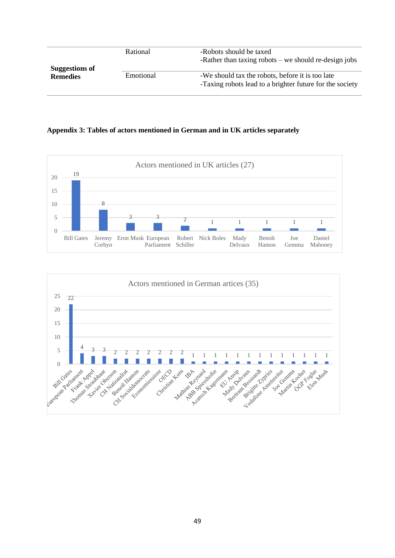| <b>Suggestions of</b> | Rational  | -Robots should be taxed<br>-Rather than taxing robots $-$ we should re-design jobs                           |
|-----------------------|-----------|--------------------------------------------------------------------------------------------------------------|
| <b>Remedies</b>       | Emotional | -We should tax the robots, before it is too late<br>-Taxing robots lead to a brighter future for the society |

#### **Appendix 3: Tables of actors mentioned in German and in UK articles separately**



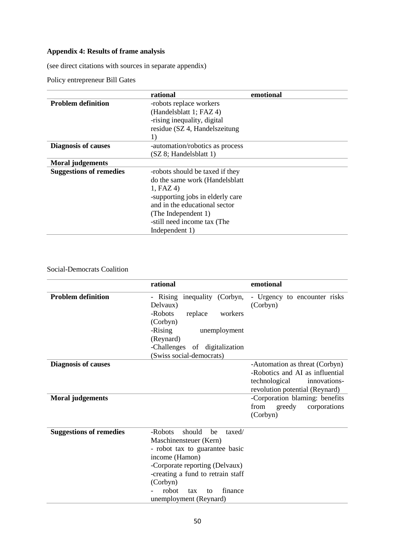# **Appendix 4: Results of frame analysis**

(see direct citations with sources in separate appendix)

Policy entrepreneur Bill Gates

|                                | rational                         | emotional |
|--------------------------------|----------------------------------|-----------|
| <b>Problem definition</b>      | -robots replace workers          |           |
|                                | (Handelsblatt 1; FAZ 4)          |           |
|                                | -rising inequality, digital      |           |
|                                | residue (SZ 4, Handelszeitung    |           |
|                                | 1)                               |           |
| <b>Diagnosis of causes</b>     | -automation/robotics as process  |           |
|                                | (SZ 8; Handelsblatt 1)           |           |
| <b>Moral</b> judgements        |                                  |           |
| <b>Suggestions of remedies</b> | -robots should be taxed if they  |           |
|                                | do the same work (Handelsblatt   |           |
|                                | 1, FAZ4                          |           |
|                                | -supporting jobs in elderly care |           |
|                                | and in the educational sector    |           |
|                                | (The Independent 1)              |           |
|                                | -still need income tax (The      |           |
|                                | Independent 1)                   |           |

## Social-Democrats Coalition

|                                | rational                                 | emotional                                |
|--------------------------------|------------------------------------------|------------------------------------------|
| <b>Problem definition</b>      | - Rising inequality (Corbyn,<br>Delvaux) | - Urgency to encounter risks<br>(Corbyn) |
|                                | -Robots<br>replace<br>workers            |                                          |
|                                | (Corbyn)                                 |                                          |
|                                | -Rising<br>unemployment                  |                                          |
|                                | (Reynard)                                |                                          |
|                                | -Challenges of digitalization            |                                          |
|                                | (Swiss social-democrats)                 |                                          |
| <b>Diagnosis of causes</b>     |                                          | -Automation as threat (Corbyn)           |
|                                |                                          | -Robotics and AI as influential          |
|                                |                                          | technological<br>innovations-            |
|                                |                                          | revolution potential (Reynard)           |
| <b>Moral</b> judgements        |                                          | -Corporation blaming: benefits           |
|                                |                                          | from<br>greedy<br>corporations           |
|                                |                                          | (Corbyn)                                 |
|                                |                                          |                                          |
| <b>Suggestions of remedies</b> | -Robots<br>should<br>be<br>taxed/        |                                          |
|                                | Maschinensteuer (Kern)                   |                                          |
|                                | - robot tax to guarantee basic           |                                          |
|                                | income (Hamon)                           |                                          |
|                                | -Corporate reporting (Delvaux)           |                                          |
|                                | -creating a fund to retrain staff        |                                          |
|                                | (Corbyn)                                 |                                          |
|                                | robot<br>finance<br>tax<br>to            |                                          |
|                                | unemployment (Reynard)                   |                                          |